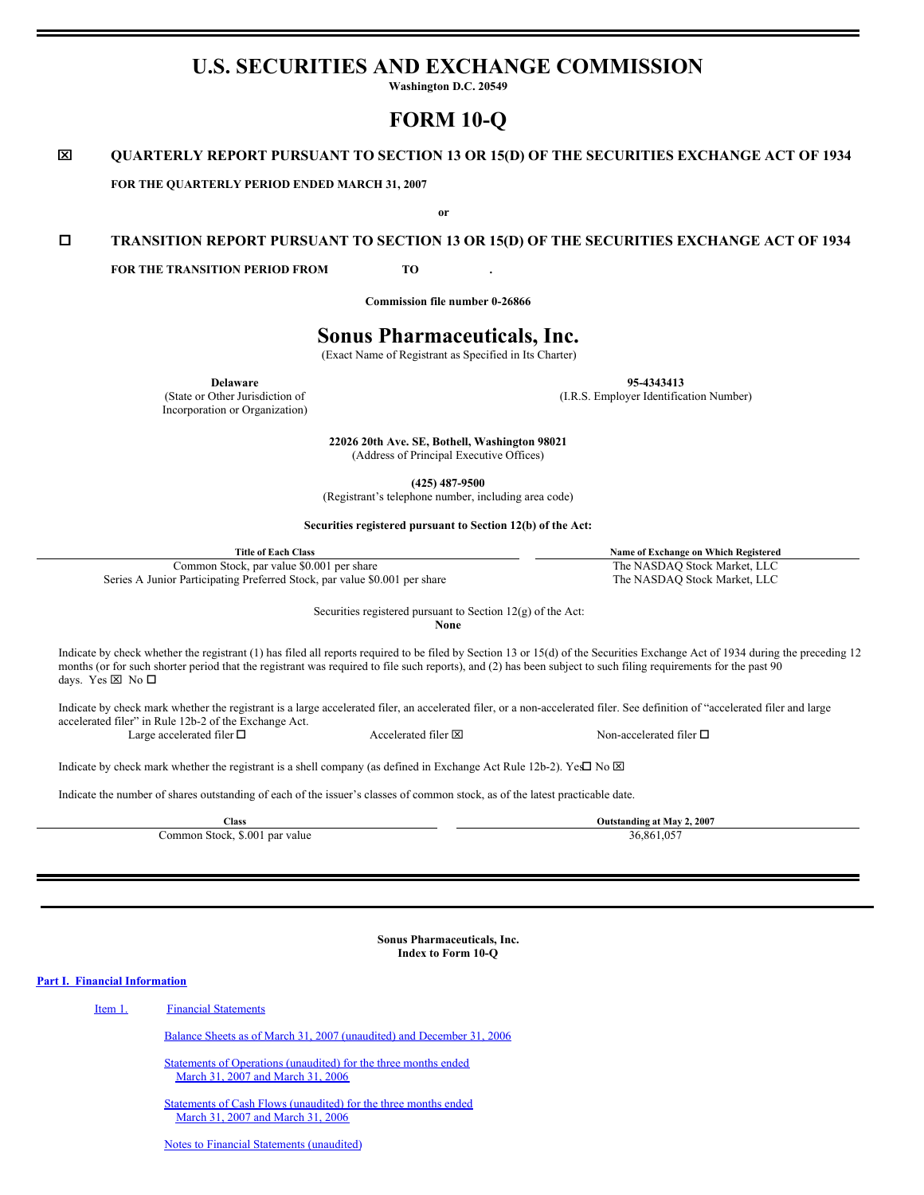# **U.S. SECURITIES AND EXCHANGE COMMISSION**

**Washington D.C. 20549**

**FORM 10-Q**

# x **QUARTERLY REPORT PURSUANT TO SECTION 13 OR 15(D) OF THE SECURITIES EXCHANGE ACT OF 1934**

**FOR THE QUARTERLY PERIOD ENDED MARCH 31, 2007**

**or**

# o **TRANSITION REPORT PURSUANT TO SECTION 13 OR 15(D) OF THE SECURITIES EXCHANGE ACT OF 1934**

**FOR THE TRANSITION PERIOD FROM TO .**

**Commission file number 0-26866**

# **Sonus Pharmaceuticals, Inc.**

(Exact Name of Registrant as Specified in Its Charter)

**Delaware** 95-4343413<br>
(State or Other Jurisdiction of *I.R.S. Employer Identifica* Incorporation or Organization)

(I.R.S. Employer Identification Number)

**22026 20th Ave. SE, Bothell, Washington 98021** (Address of Principal Executive Offices)

**(425) 487-9500**

(Registrant's telephone number, including area code)

**Securities registered pursuant to Section 12(b) of the Act:**

**Title of Each Class Name of Exchange on Which Registered** Common Stock, par value \$0.001 per share The NASDAQ Stock Market, LLC Series A Junior Participating Preferred Stock, par value \$0.001 per share The NASDAQ Stock Market, LLC

Securities registered pursuant to Section 12(g) of the Act:

**None**

Indicate by check whether the registrant (1) has filed all reports required to be filed by Section 13 or 15(d) of the Securities Exchange Act of 1934 during the preceding 12 months (or for such shorter period that the registrant was required to file such reports), and (2) has been subject to such filing requirements for the past 90 days. Yes $\boxtimes$  No  $\square$ 

Indicate by check mark whether the registrant is a large accelerated filer, an accelerated filer, or a non-accelerated filer. See definition of "accelerated filer and large accelerated filer" in Rule 12b-2 of the Exchange Act.

Large accelerated filer  $\square$  Accelerated filer  $\square$  Accelerated filer  $\square$  Non-accelerated filer  $\square$ 

Indicate by check mark whether the registrant is a shell company (as defined in Exchange Act Rule 12b-2). Yes $\Box$  No  $\boxtimes$ 

Indicate the number of shares outstanding of each of the issuer's classes of common stock, as of the latest practicable date.

**Class Outstanding at May 2, 2007**

Common Stock, \$.001 par value 36,861,057

**Sonus Pharmaceuticals, Inc. Index to Form 10-Q**

# **Part I. Financial [Information](#page-1-0)**

[Item](#page-1-1) 1. Financial [Statements](#page-1-1)

Balance Sheets as of March 31, 2007 [\(unaudited\)](#page-1-2) and December 31, 2006

Statements of Operations [\(unaudited\)](#page-1-3) for the three months ended March 31, 2007 and March 31, 2006

Statements of Cash Flows [\(unaudited\)](#page-2-0) for the three months ended March 31, 2007 and March 31, 2006

Notes to Financial [Statements](#page-3-0) (unaudited)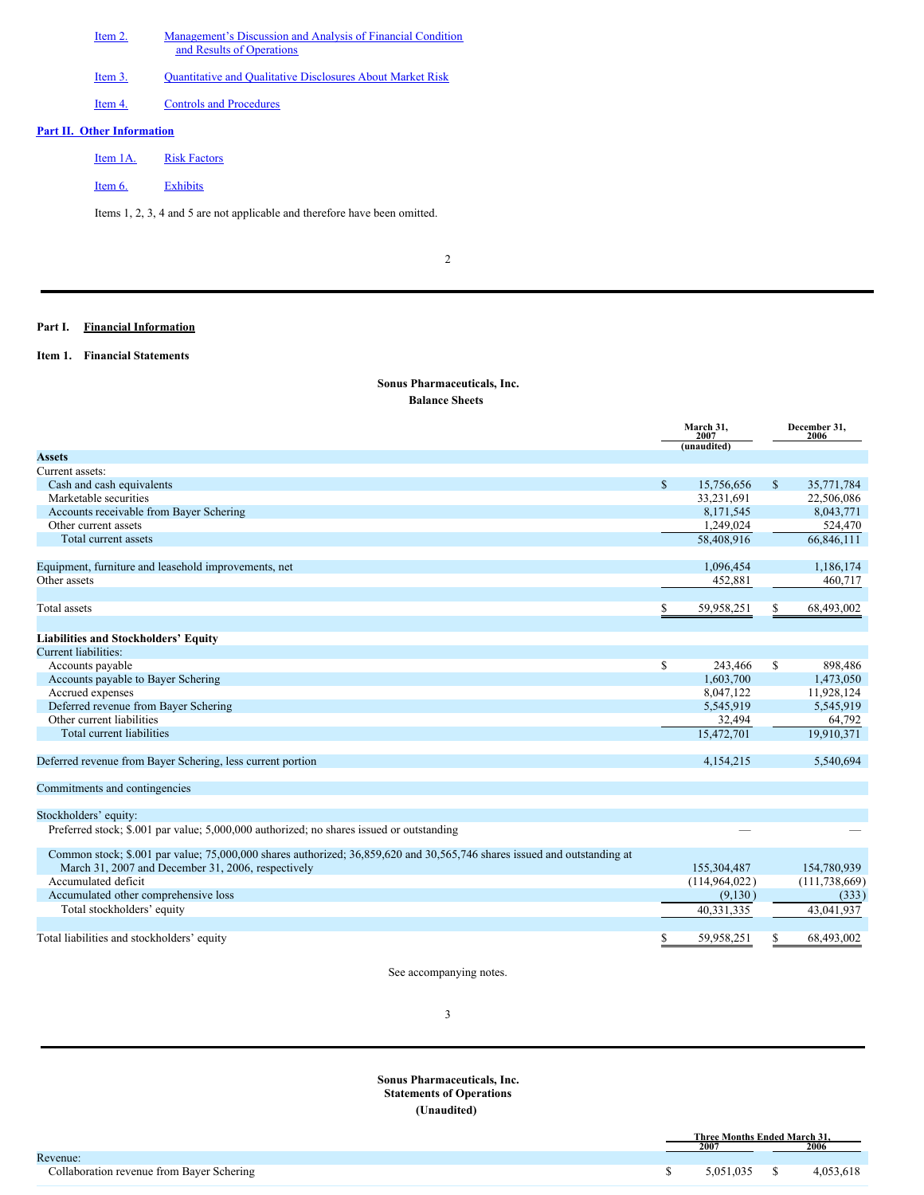[Item](#page-4-0) 2. [Management's](#page-4-0) Discussion and Analysis of Financial Condition and Results of Operations

[Item](#page-10-0) 3. [Quantitative](#page-10-0) and Qualitative Disclosures About Market Risk

[Item](#page-10-1) 4. Controls and [Procedures](#page-10-1)

# **Part II. Other [Information](#page-10-2)**

| Item 1A.  | <b>Risk Factors</b> |
|-----------|---------------------|
| Item $6.$ | <b>Exhibits</b>     |

<span id="page-1-0"></span>Items 1, 2, 3, 4 and 5 are not applicable and therefore have been omitted.

2

# **Part I. Financial Information**

# <span id="page-1-1"></span>**Item 1. Financial Statements**

# **Sonus Pharmaceuticals, Inc.**

# <span id="page-1-2"></span>**Balance Sheets**

|                                                                                                                                                                                | March 31,<br>2007 |                 | December 31,<br>2006 |                 |
|--------------------------------------------------------------------------------------------------------------------------------------------------------------------------------|-------------------|-----------------|----------------------|-----------------|
| <b>Assets</b>                                                                                                                                                                  |                   | (unaudited)     |                      |                 |
| Current assets:                                                                                                                                                                |                   |                 |                      |                 |
| Cash and cash equivalents                                                                                                                                                      | $\mathbb{S}$      | 15,756,656      | \$                   | 35,771,784      |
| Marketable securities                                                                                                                                                          |                   | 33,231,691      |                      | 22,506,086      |
| Accounts receivable from Bayer Schering                                                                                                                                        |                   | 8,171,545       |                      | 8,043,771       |
| Other current assets                                                                                                                                                           |                   | 1,249,024       |                      | 524,470         |
| Total current assets                                                                                                                                                           |                   | 58,408,916      |                      | 66,846,111      |
|                                                                                                                                                                                |                   |                 |                      |                 |
| Equipment, furniture and leasehold improvements, net                                                                                                                           |                   | 1,096,454       |                      | 1,186,174       |
| Other assets                                                                                                                                                                   |                   | 452,881         |                      | 460,717         |
|                                                                                                                                                                                |                   |                 |                      |                 |
| Total assets                                                                                                                                                                   | \$                | 59,958,251      | \$                   | 68,493,002      |
|                                                                                                                                                                                |                   |                 |                      |                 |
| <b>Liabilities and Stockholders' Equity</b>                                                                                                                                    |                   |                 |                      |                 |
| <b>Current liabilities:</b>                                                                                                                                                    |                   |                 |                      |                 |
| Accounts payable                                                                                                                                                               | \$                | 243,466         | S.                   | 898,486         |
| Accounts payable to Bayer Schering                                                                                                                                             |                   | 1,603,700       |                      | 1,473,050       |
| Accrued expenses                                                                                                                                                               |                   | 8,047,122       |                      | 11,928,124      |
| Deferred revenue from Bayer Schering                                                                                                                                           |                   | 5,545,919       |                      | 5,545,919       |
| Other current liabilities                                                                                                                                                      |                   | 32,494          |                      | 64,792          |
| Total current liabilities                                                                                                                                                      |                   | 15,472,701      |                      | 19.910.371      |
|                                                                                                                                                                                |                   |                 |                      |                 |
| Deferred revenue from Bayer Schering, less current portion                                                                                                                     |                   | 4.154.215       |                      | 5.540.694       |
|                                                                                                                                                                                |                   |                 |                      |                 |
| Commitments and contingencies                                                                                                                                                  |                   |                 |                      |                 |
|                                                                                                                                                                                |                   |                 |                      |                 |
| Stockholders' equity:                                                                                                                                                          |                   |                 |                      |                 |
| Preferred stock; \$.001 par value; 5,000,000 authorized; no shares issued or outstanding                                                                                       |                   |                 |                      |                 |
|                                                                                                                                                                                |                   |                 |                      |                 |
| Common stock; \$.001 par value; 75,000,000 shares authorized; 36,859,620 and 30,565,746 shares issued and outstanding at<br>March 31, 2007 and December 31, 2006, respectively |                   | 155,304,487     |                      | 154,780,939     |
| Accumulated deficit                                                                                                                                                            |                   | (114, 964, 022) |                      | (111, 738, 669) |
| Accumulated other comprehensive loss                                                                                                                                           |                   | (9,130)         |                      | (333)           |
| Total stockholders' equity                                                                                                                                                     |                   | 40,331,335      |                      | 43,041,937      |
|                                                                                                                                                                                |                   |                 |                      |                 |
| Total liabilities and stockholders' equity                                                                                                                                     |                   | 59,958,251      | \$                   | 68,493,002      |
|                                                                                                                                                                                |                   |                 |                      |                 |

See accompanying notes.

<span id="page-1-3"></span>3

**Sonus Pharmaceuticals, Inc. Statements of Operations (Unaudited)**

**Three Months Ended March 31, 2007 2006**

Revenue: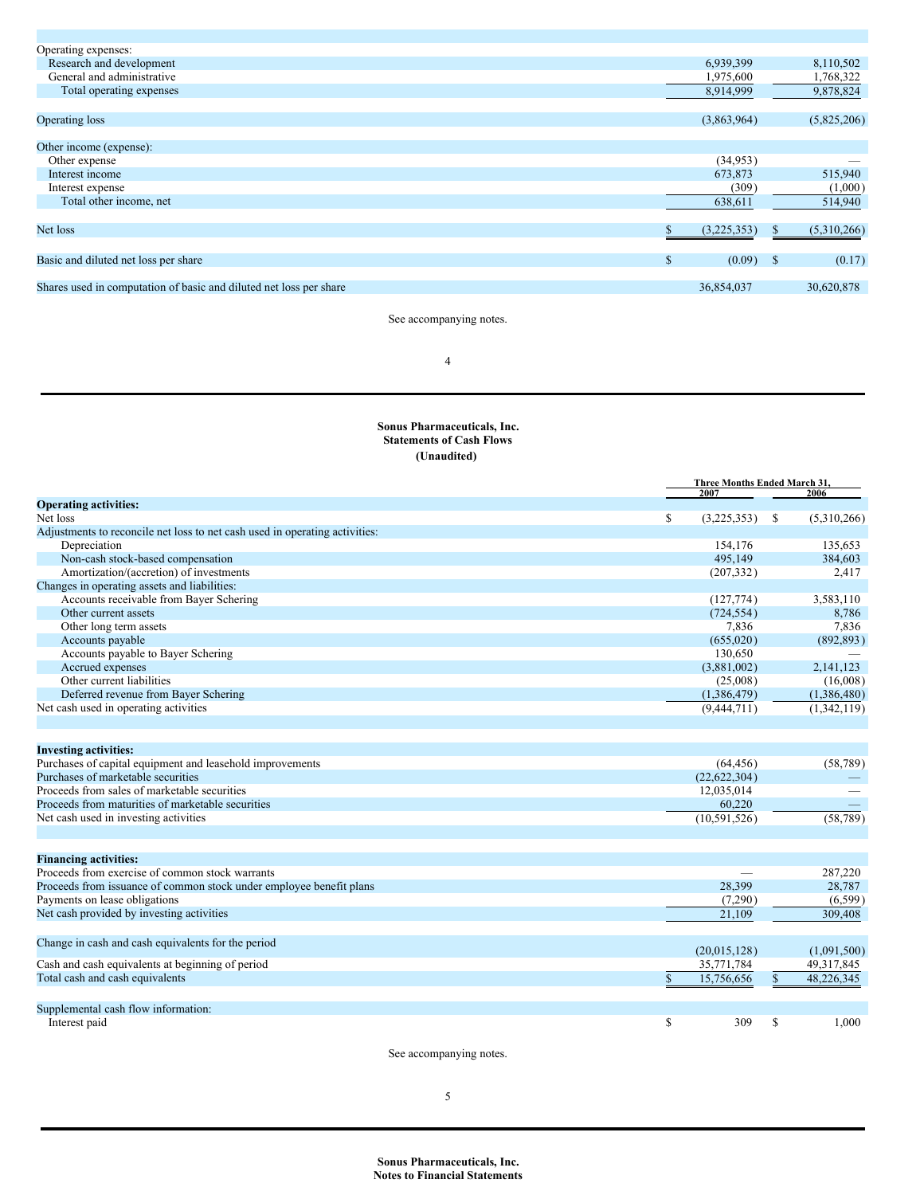| Operating expenses:                                                |                        |               |             |
|--------------------------------------------------------------------|------------------------|---------------|-------------|
| Research and development                                           | 6,939,399              |               | 8,110,502   |
| General and administrative                                         | 1,975,600              |               | 1,768,322   |
| Total operating expenses                                           | 8,914,999              |               | 9,878,824   |
|                                                                    |                        |               |             |
| Operating loss                                                     | (3,863,964)            |               | (5,825,206) |
|                                                                    |                        |               |             |
| Other income (expense):                                            |                        |               |             |
| Other expense                                                      | (34,953)               |               |             |
| Interest income                                                    | 673,873                |               | 515,940     |
| Interest expense                                                   | (309)                  |               | (1,000)     |
| Total other income, net                                            | 638,611                |               | 514,940     |
|                                                                    |                        |               |             |
| Net loss                                                           | (3,225,353)            | S             | (5,310,266) |
|                                                                    |                        |               |             |
| Basic and diluted net loss per share                               | $\mathbb{S}$<br>(0.09) | <sup>\$</sup> | (0.17)      |
|                                                                    |                        |               |             |
| Shares used in computation of basic and diluted net loss per share | 36,854,037             |               | 30,620,878  |
|                                                                    |                        |               |             |

See accompanying notes.

<span id="page-2-0"></span>4

# **Sonus Pharmaceuticals, Inc. Statements of Cash Flows (Unaudited)**

|                                                                             |                            | Three Months Ended March 31. |
|-----------------------------------------------------------------------------|----------------------------|------------------------------|
|                                                                             | 2007                       | 2006                         |
| <b>Operating activities:</b><br>Net loss                                    |                            |                              |
| Adjustments to reconcile net loss to net cash used in operating activities: | \$<br>(3,225,353)          | (5,310,266)<br><sup>\$</sup> |
| Depreciation                                                                | 154,176                    | 135,653                      |
| Non-cash stock-based compensation                                           | 495,149                    | 384,603                      |
| Amortization/(accretion) of investments                                     |                            |                              |
| Changes in operating assets and liabilities:                                | (207, 332)                 | 2,417                        |
| Accounts receivable from Bayer Schering                                     |                            |                              |
| Other current assets                                                        | (127, 774)                 | 3,583,110                    |
|                                                                             | (724, 554)                 | 8,786                        |
| Other long term assets                                                      | 7,836                      | 7,836                        |
| Accounts payable                                                            | (655,020)                  | (892, 893)                   |
| Accounts payable to Bayer Schering                                          | 130,650                    |                              |
| Accrued expenses                                                            | (3,881,002)                | 2,141,123                    |
| Other current liabilities                                                   | (25,008)                   | (16,008)                     |
| Deferred revenue from Bayer Schering                                        | (1,386,479)                | (1,386,480)                  |
| Net cash used in operating activities                                       | (9,444,711)                | (1,342,119)                  |
|                                                                             |                            |                              |
| <b>Investing activities:</b>                                                |                            |                              |
| Purchases of capital equipment and leasehold improvements                   | (64, 456)                  | (58, 789)                    |
| Purchases of marketable securities                                          | (22, 622, 304)             |                              |
| Proceeds from sales of marketable securities                                | 12,035,014                 |                              |
| Proceeds from maturities of marketable securities                           | 60,220                     |                              |
| Net cash used in investing activities                                       | (10, 591, 526)             | (58, 789)                    |
|                                                                             |                            |                              |
| <b>Financing activities:</b>                                                |                            |                              |
| Proceeds from exercise of common stock warrants                             |                            | 287,220                      |
| Proceeds from issuance of common stock under employee benefit plans         | 28,399                     | 28,787                       |
| Payments on lease obligations                                               | (7,290)                    | (6,599)                      |
| Net cash provided by investing activities                                   | 21.109                     | 309,408                      |
|                                                                             |                            |                              |
| Change in cash and cash equivalents for the period                          | (20,015,128)               | (1,091,500)                  |
| Cash and cash equivalents at beginning of period                            | 35,771,784                 | 49, 317, 845                 |
| Total cash and cash equivalents                                             | $\mathbb{S}$<br>15,756,656 | $\mathbb{S}$<br>48,226,345   |
|                                                                             |                            |                              |
| Supplemental cash flow information:                                         |                            |                              |
| Interest paid                                                               | \$<br>309                  | $\mathcal{S}$<br>1,000       |

See accompanying notes.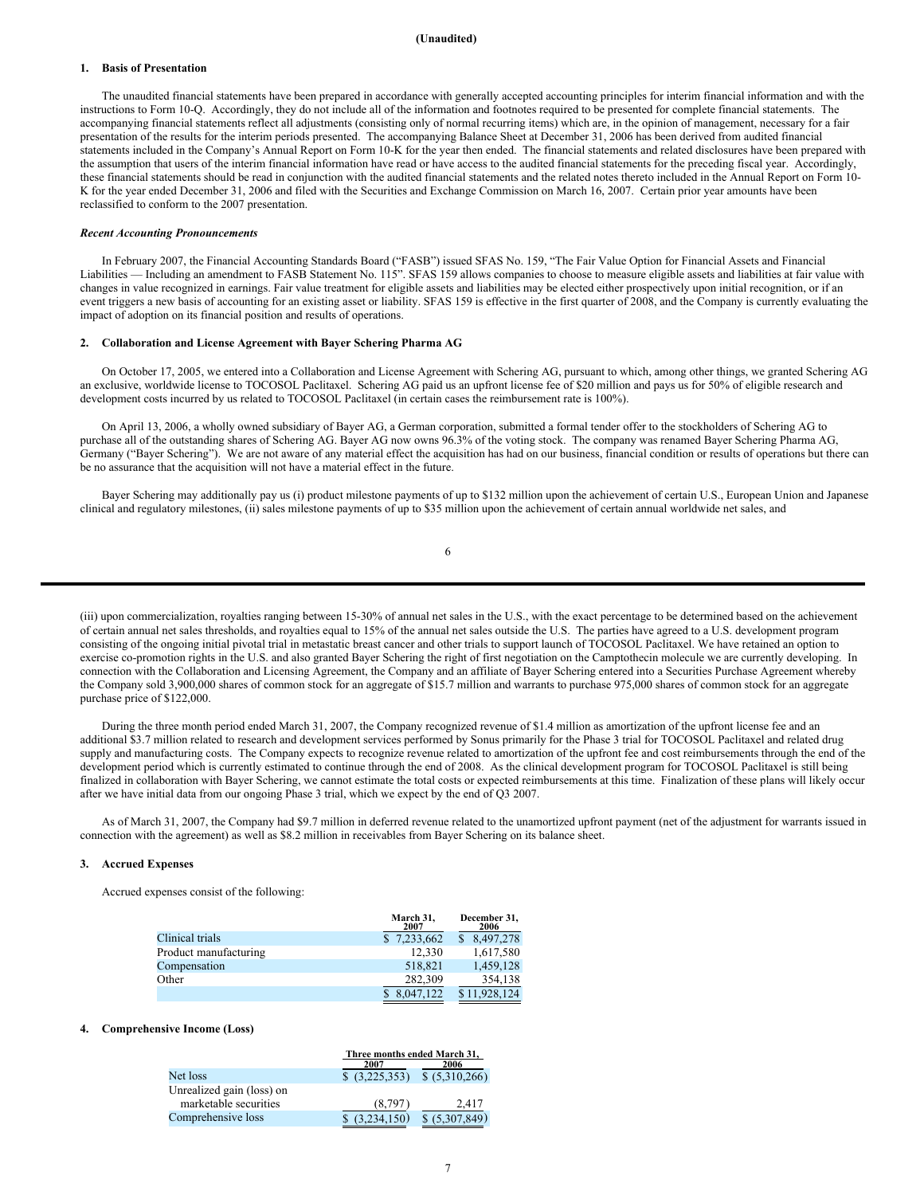# <span id="page-3-0"></span>**1. Basis of Presentation**

The unaudited financial statements have been prepared in accordance with generally accepted accounting principles for interim financial information and with the instructions to Form 10-Q. Accordingly, they do not include all of the information and footnotes required to be presented for complete financial statements. The accompanying financial statements reflect all adjustments (consisting only of normal recurring items) which are, in the opinion of management, necessary for a fair presentation of the results for the interim periods presented. The accompanying Balance Sheet at December 31, 2006 has been derived from audited financial statements included in the Company's Annual Report on Form 10-K for the year then ended. The financial statements and related disclosures have been prepared with the assumption that users of the interim financial information have read or have access to the audited financial statements for the preceding fiscal year. Accordingly, these financial statements should be read in conjunction with the audited financial statements and the related notes thereto included in the Annual Report on Form 10- K for the year ended December 31, 2006 and filed with the Securities and Exchange Commission on March 16, 2007. Certain prior year amounts have been reclassified to conform to the 2007 presentation.

#### *Recent Accounting Pronouncements*

In February 2007, the Financial Accounting Standards Board ("FASB") issued SFAS No. 159, "The Fair Value Option for Financial Assets and Financial Liabilities — Including an amendment to FASB Statement No. 115". SFAS 159 allows companies to choose to measure eligible assets and liabilities at fair value with changes in value recognized in earnings. Fair value treatment for eligible assets and liabilities may be elected either prospectively upon initial recognition, or if an event triggers a new basis of accounting for an existing asset or liability. SFAS 159 is effective in the first quarter of 2008, and the Company is currently evaluating the impact of adoption on its financial position and results of operations.

#### **2. Collaboration and License Agreement with Bayer Schering Pharma AG**

On October 17, 2005, we entered into a Collaboration and License Agreement with Schering AG, pursuant to which, among other things, we granted Schering AG an exclusive, worldwide license to TOCOSOL Paclitaxel. Schering AG paid us an upfront license fee of \$20 million and pays us for 50% of eligible research and development costs incurred by us related to TOCOSOL Paclitaxel (in certain cases the reimbursement rate is 100%).

On April 13, 2006, a wholly owned subsidiary of Bayer AG, a German corporation, submitted a formal tender offer to the stockholders of Schering AG to purchase all of the outstanding shares of Schering AG. Bayer AG now owns 96.3% of the voting stock. The company was renamed Bayer Schering Pharma AG, Germany ("Bayer Schering"). We are not aware of any material effect the acquisition has had on our business, financial condition or results of operations but there can be no assurance that the acquisition will not have a material effect in the future.

Bayer Schering may additionally pay us (i) product milestone payments of up to \$132 million upon the achievement of certain U.S., European Union and Japanese clinical and regulatory milestones, (ii) sales milestone payments of up to \$35 million upon the achievement of certain annual worldwide net sales, and

| ٧<br>I<br>٦<br>۰, |
|-------------------|
|                   |

(iii) upon commercialization, royalties ranging between 15-30% of annual net sales in the U.S., with the exact percentage to be determined based on the achievement of certain annual net sales thresholds, and royalties equal to 15% of the annual net sales outside the U.S. The parties have agreed to a U.S. development program consisting of the ongoing initial pivotal trial in metastatic breast cancer and other trials to support launch of TOCOSOL Paclitaxel. We have retained an option to exercise co-promotion rights in the U.S. and also granted Bayer Schering the right of first negotiation on the Camptothecin molecule we are currently developing. In connection with the Collaboration and Licensing Agreement, the Company and an affiliate of Bayer Schering entered into a Securities Purchase Agreement whereby the Company sold 3,900,000 shares of common stock for an aggregate of \$15.7 million and warrants to purchase 975,000 shares of common stock for an aggregate purchase price of \$122,000.

During the three month period ended March 31, 2007, the Company recognized revenue of \$1.4 million as amortization of the upfront license fee and an additional \$3.7 million related to research and development services performed by Sonus primarily for the Phase 3 trial for TOCOSOL Paclitaxel and related drug supply and manufacturing costs. The Company expects to recognize revenue related to amortization of the upfront fee and cost reimbursements through the end of the development period which is currently estimated to continue through the end of 2008. As the clinical development program for TOCOSOL Paclitaxel is still being finalized in collaboration with Bayer Schering, we cannot estimate the total costs or expected reimbursements at this time. Finalization of these plans will likely occur after we have initial data from our ongoing Phase 3 trial, which we expect by the end of Q3 2007.

As of March 31, 2007, the Company had \$9.7 million in deferred revenue related to the unamortized upfront payment (net of the adjustment for warrants issued in connection with the agreement) as well as \$8.2 million in receivables from Bayer Schering on its balance sheet.

# **3. Accrued Expenses**

Accrued expenses consist of the following:

|                       | March 31,<br>2007 | December 31,<br>2006 |
|-----------------------|-------------------|----------------------|
| Clinical trials       | \$7,233,662       | 8.497.278            |
| Product manufacturing | 12.330            | 1,617,580            |
| Compensation          | 518.821           | 1.459.128            |
| Other                 | 282,309           | 354,138              |
|                       | 8.047.122         | \$11,928,124         |

# **4. Comprehensive Income (Loss)**

|                           | Three months ended March 31, |                |  |
|---------------------------|------------------------------|----------------|--|
|                           | 2007                         | 2006           |  |
| Net loss                  | \$ (3,225,353)               | \$ (5,310,266) |  |
| Unrealized gain (loss) on |                              |                |  |
| marketable securities     | (8.797)                      | 2.417          |  |
| Comprehensive loss        | $$$ $(3,234,150)$            | \$ (5,307,849) |  |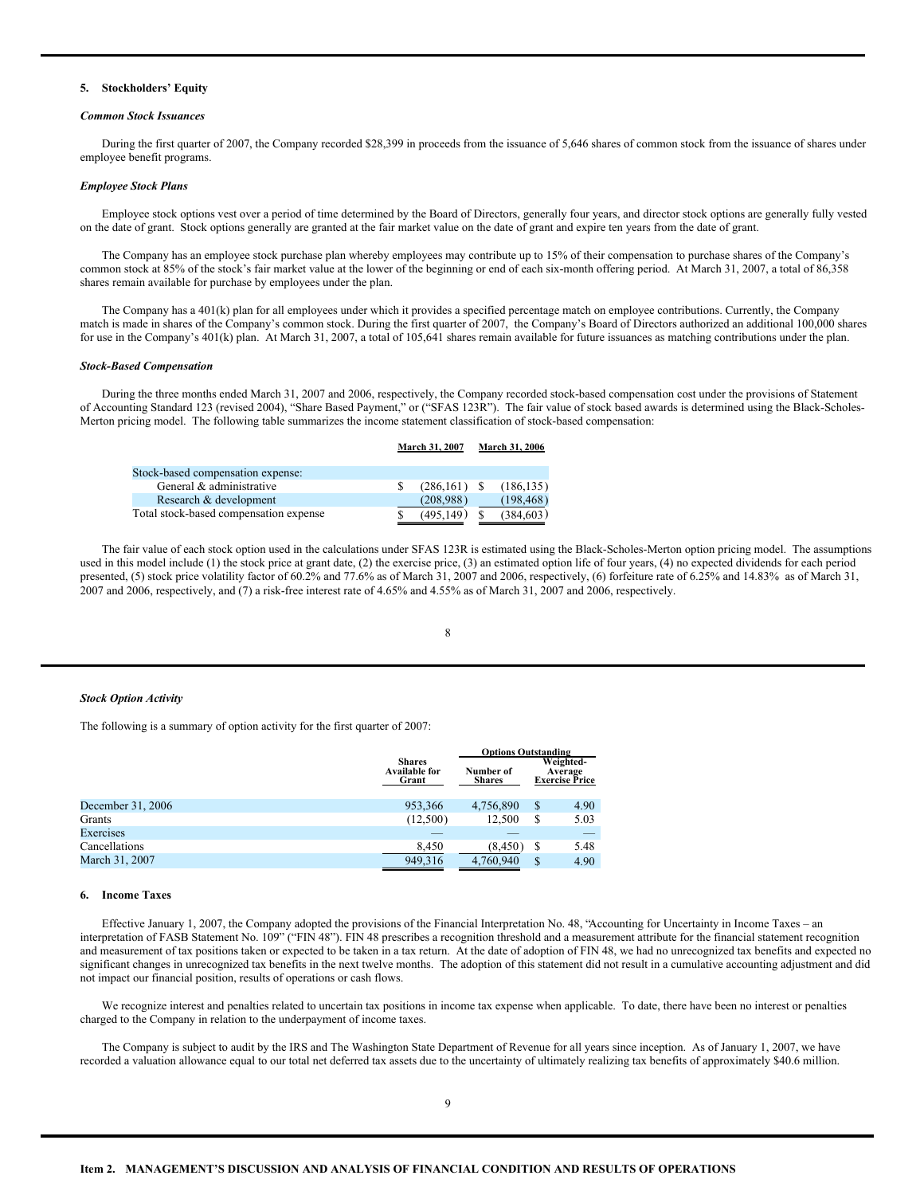#### **5. Stockholders' Equity**

#### *Common Stock Issuances*

During the first quarter of 2007, the Company recorded \$28,399 in proceeds from the issuance of 5,646 shares of common stock from the issuance of shares under employee benefit programs.

#### *Employee Stock Plans*

Employee stock options vest over a period of time determined by the Board of Directors, generally four years, and director stock options are generally fully vested on the date of grant. Stock options generally are granted at the fair market value on the date of grant and expire ten years from the date of grant.

The Company has an employee stock purchase plan whereby employees may contribute up to 15% of their compensation to purchase shares of the Company's common stock at 85% of the stock's fair market value at the lower of the beginning or end of each six-month offering period. At March 31, 2007, a total of 86,358 shares remain available for purchase by employees under the plan.

The Company has a 401(k) plan for all employees under which it provides a specified percentage match on employee contributions. Currently, the Company match is made in shares of the Company's common stock. During the first quarter of 2007, the Company's Board of Directors authorized an additional 100,000 shares for use in the Company's 401(k) plan. At March 31, 2007, a total of 105,641 shares remain available for future issuances as matching contributions under the plan.

#### *Stock-Based Compensation*

During the three months ended March 31, 2007 and 2006, respectively, the Company recorded stock-based compensation cost under the provisions of Statement of Accounting Standard 123 (revised 2004), "Share Based Payment," or ("SFAS 123R"). The fair value of stock based awards is determined using the Black-Scholes-Merton pricing model. The following table summarizes the income statement classification of stock-based compensation:

|                                        | March 31, 2007 | March 31, 2006 |
|----------------------------------------|----------------|----------------|
| Stock-based compensation expense:      |                |                |
| General & administrative               | $(286.161)$ \$ | (186, 135)     |
| Research & development                 | (208.988)      | (198, 468)     |
| Total stock-based compensation expense | (495.149)      | (384.603)      |

The fair value of each stock option used in the calculations under SFAS 123R is estimated using the Black-Scholes-Merton option pricing model. The assumptions used in this model include (1) the stock price at grant date, (2) the exercise price, (3) an estimated option life of four years, (4) no expected dividends for each period presented, (5) stock price volatility factor of 60.2% and 77.6% as of March 31, 2007 and 2006, respectively, (6) forfeiture rate of 6.25% and 14.83% as of March 31, 2007 and 2006, respectively, and (7) a risk-free interest rate of 4.65% and 4.55% as of March 31, 2007 and 2006, respectively.

#### <span id="page-4-0"></span>8

#### *Stock Option Activity*

The following is a summary of option activity for the first quarter of 2007:

|                   |                                         | <b>Options Outstanding</b> |                                               |      |  |  |
|-------------------|-----------------------------------------|----------------------------|-----------------------------------------------|------|--|--|
|                   | <b>Shares</b><br>Available for<br>Grant | Number of<br><b>Shares</b> | Weighted-<br>Average<br><b>Exercise Price</b> |      |  |  |
| December 31, 2006 | 953,366                                 | 4,756,890                  | \$                                            | 4.90 |  |  |
| Grants            | (12,500)                                | 12.500                     | \$                                            | 5.03 |  |  |
| Exercises         |                                         |                            |                                               |      |  |  |
| Cancellations     | 8,450                                   | (8, 450)                   | \$                                            | 5.48 |  |  |
| March 31, 2007    | 949.316                                 | 4.760.940                  | S                                             | 4.90 |  |  |

#### **6. Income Taxes**

Effective January 1, 2007, the Company adopted the provisions of the Financial Interpretation No. 48, "Accounting for Uncertainty in Income Taxes – an interpretation of FASB Statement No. 109" ("FIN 48"). FIN 48 prescribes a recognition threshold and a measurement attribute for the financial statement recognition and measurement of tax positions taken or expected to be taken in a tax return. At the date of adoption of FIN 48, we had no unrecognized tax benefits and expected no significant changes in unrecognized tax benefits in the next twelve months. The adoption of this statement did not result in a cumulative accounting adjustment and did not impact our financial position, results of operations or cash flows.

We recognize interest and penalties related to uncertain tax positions in income tax expense when applicable. To date, there have been no interest or penalties charged to the Company in relation to the underpayment of income taxes.

The Company is subject to audit by the IRS and The Washington State Department of Revenue for all years since inception. As of January 1, 2007, we have recorded a valuation allowance equal to our total net deferred tax assets due to the uncertainty of ultimately realizing tax benefits of approximately \$40.6 million.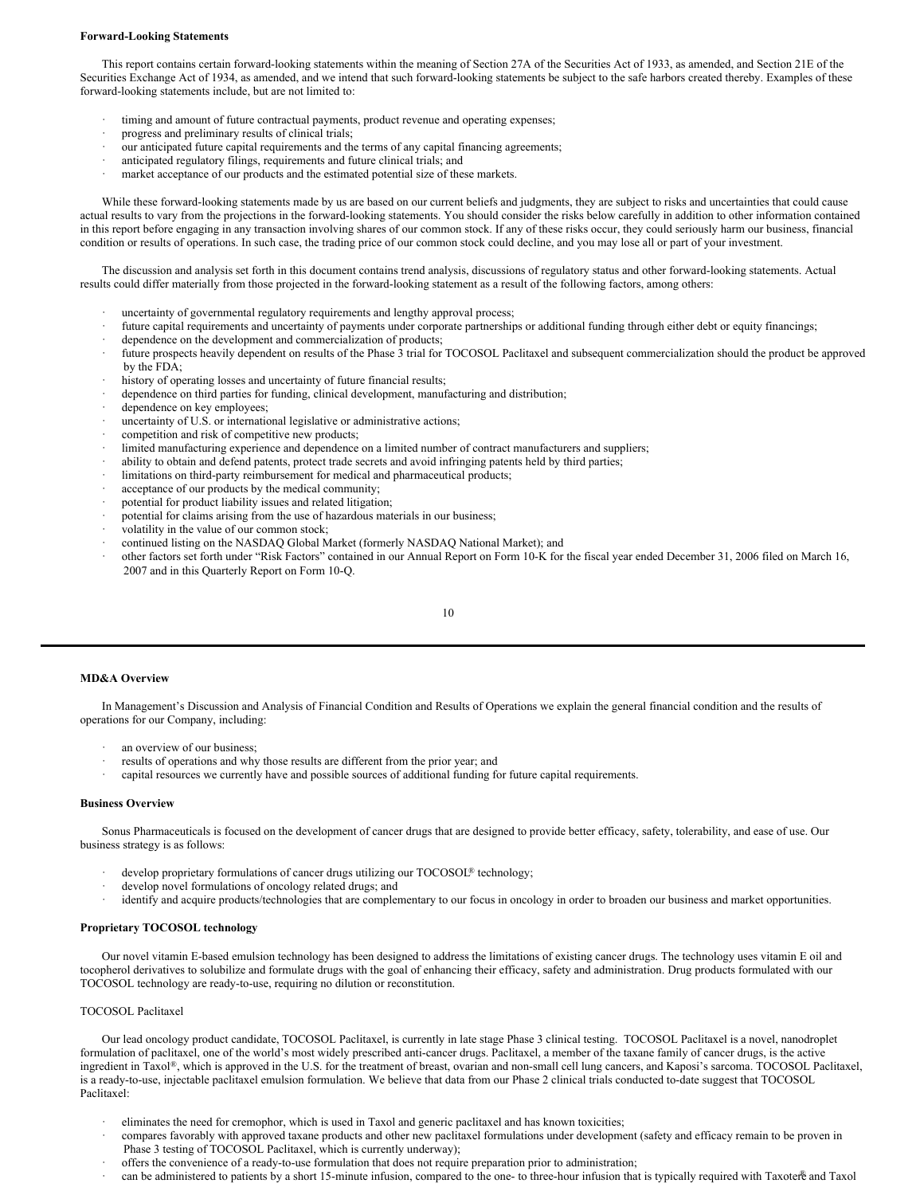#### **Forward-Looking Statements**

This report contains certain forward-looking statements within the meaning of Section 27A of the Securities Act of 1933, as amended, and Section 21E of the Securities Exchange Act of 1934, as amended, and we intend that such forward-looking statements be subject to the safe harbors created thereby. Examples of these forward-looking statements include, but are not limited to:

- timing and amount of future contractual payments, product revenue and operating expenses;
- progress and preliminary results of clinical trials;
- our anticipated future capital requirements and the terms of any capital financing agreements;
- anticipated regulatory filings, requirements and future clinical trials; and
- market acceptance of our products and the estimated potential size of these markets.

While these forward-looking statements made by us are based on our current beliefs and judgments, they are subject to risks and uncertainties that could cause actual results to vary from the projections in the forward-looking statements. You should consider the risks below carefully in addition to other information contained in this report before engaging in any transaction involving shares of our common stock. If any of these risks occur, they could seriously harm our business, financial condition or results of operations. In such case, the trading price of our common stock could decline, and you may lose all or part of your investment.

The discussion and analysis set forth in this document contains trend analysis, discussions of regulatory status and other forward-looking statements. Actual results could differ materially from those projected in the forward-looking statement as a result of the following factors, among others:

- uncertainty of governmental regulatory requirements and lengthy approval process;
- future capital requirements and uncertainty of payments under corporate partnerships or additional funding through either debt or equity financings;
- dependence on the development and commercialization of products;
- · future prospects heavily dependent on results of the Phase 3 trial for TOCOSOL Paclitaxel and subsequent commercialization should the product be approved by the FDA;
- history of operating losses and uncertainty of future financial results;
- dependence on third parties for funding, clinical development, manufacturing and distribution;
- dependence on key employees;
- uncertainty of U.S. or international legislative or administrative actions;
- competition and risk of competitive new products;
- limited manufacturing experience and dependence on a limited number of contract manufacturers and suppliers;
- ability to obtain and defend patents, protect trade secrets and avoid infringing patents held by third parties;
- limitations on third-party reimbursement for medical and pharmaceutical products;
- acceptance of our products by the medical community;
- potential for product liability issues and related litigation;
- potential for claims arising from the use of hazardous materials in our business;
- volatility in the value of our common stock;
- continued listing on the NASDAQ Global Market (formerly NASDAQ National Market); and
- · other factors set forth under "Risk Factors" contained in our Annual Report on Form 10-K for the fiscal year ended December 31, 2006 filed on March 16, 2007 and in this Quarterly Report on Form 10-Q.

# 10

## **MD&A Overview**

In Management's Discussion and Analysis of Financial Condition and Results of Operations we explain the general financial condition and the results of operations for our Company, including:

- an overview of our business;
- results of operations and why those results are different from the prior year; and
- capital resources we currently have and possible sources of additional funding for future capital requirements.

#### **Business Overview**

Sonus Pharmaceuticals is focused on the development of cancer drugs that are designed to provide better efficacy, safety, tolerability, and ease of use. Our business strategy is as follows:

- · develop proprietary formulations of cancer drugs utilizing our TOCOSOL® technology;
- develop novel formulations of oncology related drugs; and
- identify and acquire products/technologies that are complementary to our focus in oncology in order to broaden our business and market opportunities.

# **Proprietary TOCOSOL technology**

Our novel vitamin E-based emulsion technology has been designed to address the limitations of existing cancer drugs. The technology uses vitamin E oil and tocopherol derivatives to solubilize and formulate drugs with the goal of enhancing their efficacy, safety and administration. Drug products formulated with our TOCOSOL technology are ready-to-use, requiring no dilution or reconstitution.

#### TOCOSOL Paclitaxel

Our lead oncology product candidate, TOCOSOL Paclitaxel, is currently in late stage Phase 3 clinical testing. TOCOSOL Paclitaxel is a novel, nanodroplet formulation of paclitaxel, one of the world's most widely prescribed anti-cancer drugs. Paclitaxel, a member of the taxane family of cancer drugs, is the active ingredient in Taxol®, which is approved in the U.S. for the treatment of breast, ovarian and non-small cell lung cancers, and Kaposi's sarcoma. TOCOSOL Paclitaxel, is a ready-to-use, injectable paclitaxel emulsion formulation. We believe that data from our Phase 2 clinical trials conducted to-date suggest that TOCOSOL Paclitaxel:

- eliminates the need for cremophor, which is used in Taxol and generic paclitaxel and has known toxicities;
- · compares favorably with approved taxane products and other new paclitaxel formulations under development (safety and efficacy remain to be proven in Phase 3 testing of TOCOSOL Paclitaxel, which is currently underway);
- · offers the convenience of a ready-to-use formulation that does not require preparation prior to administration;
- · can be administered to patients by a short 15-minute infusion, compared to the one- to three-hour infusion that is typically required with Taxotere and Taxol ®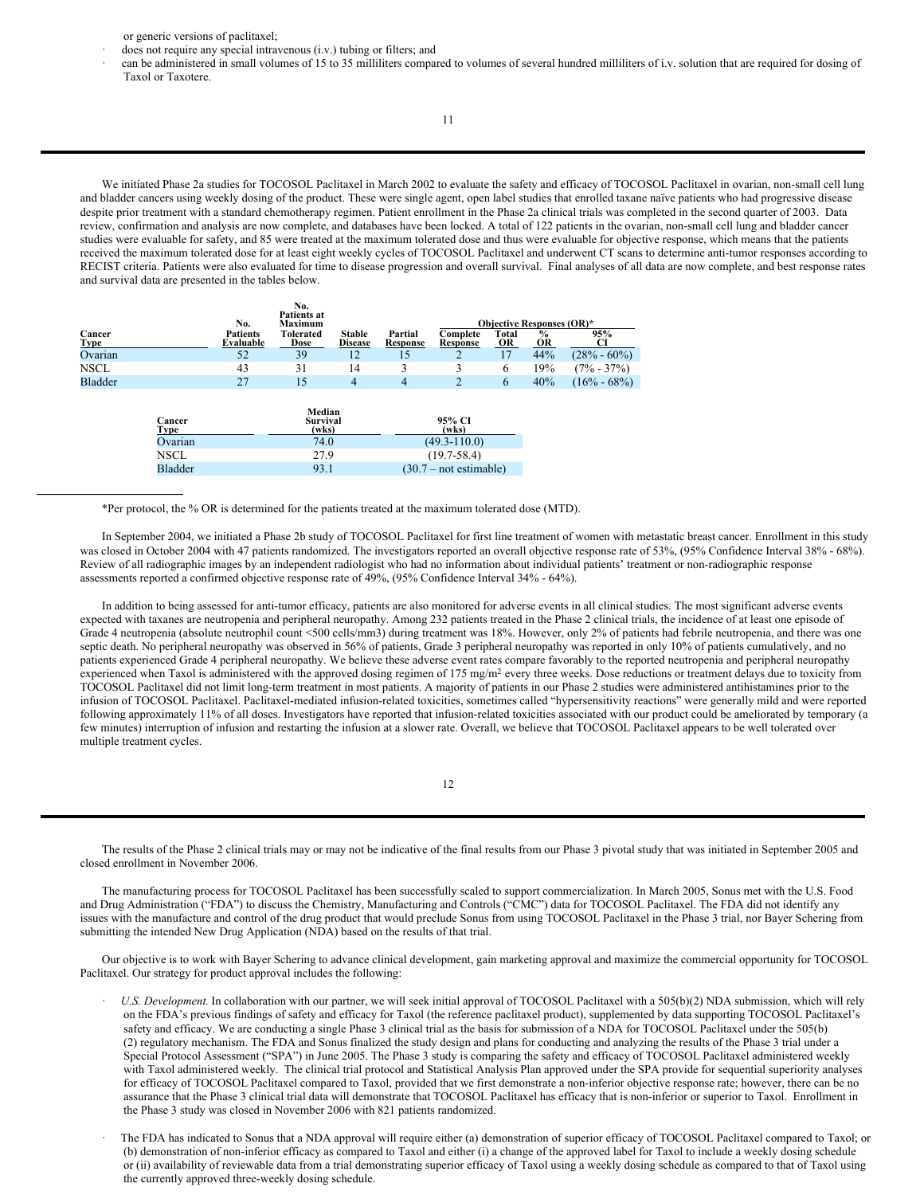or generic versions of paclitaxel;

- does not require any special intravenous (i.v.) tubing or filters; and
- can be administered in small volumes of 15 to 35 milliliters compared to volumes of several hundred milliliters of i.v. solution that are required for dosing of Taxol or Taxotere.

We initiated Phase 2a studies for TOCOSOL Paclitaxel in March 2002 to evaluate the safety and efficacy of TOCOSOL Paclitaxel in ovarian, non-small cell lung and bladder cancers using weekly dosing of the product. These were single agent, open label studies that enrolled taxane naïve patients who had progressive disease despite prior treatment with a standard chemotherapy regimen. Patient enrollment in the Phase 2a clinical trials was completed in the second quarter of 2003. Data review, confirmation and analysis are now complete, and databases have been locked. A total of 122 patients in the ovarian, non-small cell lung and bladder cancer studies were evaluable for safety, and 85 were treated at the maximum tolerated dose and thus were evaluable for objective response, which means that the patients received the maximum tolerated dose for at least eight weekly cycles of TOCOSOL Paclitaxel and underwent CT scans to determine anti-tumor responses according to RECIST criteria. Patients were also evaluated for time to disease progression and overall survival. Final analyses of all data are now complete, and best response rates and survival data are presented in the tables below.

|                       |                       | No.                          | No.<br><b>Patients at</b><br>Maximum |                                 |                            |                             |             | <b>Objective Responses (OR)*</b> |                 |
|-----------------------|-----------------------|------------------------------|--------------------------------------|---------------------------------|----------------------------|-----------------------------|-------------|----------------------------------|-----------------|
| Cancer<br><b>Type</b> |                       | <b>Patients</b><br>Evaluable | <b>Tolerated</b><br>Dose             | <b>Stable</b><br><b>Disease</b> | Partial<br><b>Response</b> | Complete<br><b>Response</b> | Total<br>OR | $\frac{0}{0}$<br><u>OR</u>       | 95%<br>СI       |
| Ovarian               |                       | 52                           | 39                                   | 12                              | 15                         | 2                           | 17          | 44%                              | $(28\% - 60\%)$ |
| <b>NSCL</b>           |                       | 43                           | 31                                   | 14                              | 3                          |                             | 6           | 19%                              | $(7\% - 37\%)$  |
| <b>Bladder</b>        |                       | 27                           | 15                                   | 4                               | 4                          |                             | 6           | 40%                              | $(16\% - 68\%)$ |
|                       | Cancer<br><b>Type</b> |                              | Median<br><b>Survival</b><br>(wks)   |                                 |                            | 95% CI<br>(wks)             |             |                                  |                 |
|                       | Ovarian               |                              | 74.0                                 |                                 |                            | $(49.3 - 110.0)$            |             |                                  |                 |
|                       | <b>NSCL</b>           |                              | 27.9                                 |                                 |                            | $(19.7 - 58.4)$             |             |                                  |                 |

\*Per protocol, the % OR is determined for the patients treated at the maximum tolerated dose (MTD).

Bladder 93.1 (30.7 – not estimable)

In September 2004, we initiated a Phase 2b study of TOCOSOL Paclitaxel for first line treatment of women with metastatic breast cancer. Enrollment in this study was closed in October 2004 with 47 patients randomized. The investigators reported an overall objective response rate of 53%, (95% Confidence Interval 38% - 68%). Review of all radiographic images by an independent radiologist who had no information about individual patients' treatment or non-radiographic response assessments reported a confirmed objective response rate of 49%, (95% Confidence Interval 34% - 64%).

In addition to being assessed for anti-tumor efficacy, patients are also monitored for adverse events in all clinical studies. The most significant adverse events expected with taxanes are neutropenia and peripheral neuropathy. Among 232 patients treated in the Phase 2 clinical trials, the incidence of at least one episode of Grade 4 neutropenia (absolute neutrophil count <500 cells/mm3) during treatment was 18%. However, only 2% of patients had febrile neutropenia, and there was one septic death. No peripheral neuropathy was observed in 56% of patients, Grade 3 peripheral neuropathy was reported in only 10% of patients cumulatively, and no patients experienced Grade 4 peripheral neuropathy. We believe these adverse event rates compare favorably to the reported neutropenia and peripheral neuropathy experienced when Taxol is administered with the approved dosing regimen of  $175 \text{ mg/m}^2$  every three weeks. Dose reductions or treatment delays due to toxicity from TOCOSOL Paclitaxel did not limit long-term treatment in most patients. A majority of patients in our Phase 2 studies were administered antihistamines prior to the infusion of TOCOSOL Paclitaxel. Paclitaxel-mediated infusion-related toxicities, sometimes called "hypersensitivity reactions" were generally mild and were reported following approximately 11% of all doses. Investigators have reported that infusion-related toxicities associated with our product could be ameliorated by temporary (a few minutes) interruption of infusion and restarting the infusion at a slower rate. Overall, we believe that TOCOSOL Paclitaxel appears to be well tolerated over multiple treatment cycles.

The results of the Phase 2 clinical trials may or may not be indicative of the final results from our Phase 3 pivotal study that was initiated in September 2005 and closed enrollment in November 2006.

The manufacturing process for TOCOSOL Paclitaxel has been successfully scaled to support commercialization. In March 2005, Sonus met with the U.S. Food and Drug Administration ("FDA") to discuss the Chemistry, Manufacturing and Controls ("CMC") data for TOCOSOL Paclitaxel. The FDA did not identify any issues with the manufacture and control of the drug product that would preclude Sonus from using TOCOSOL Paclitaxel in the Phase 3 trial, nor Bayer Schering from submitting the intended New Drug Application (NDA) based on the results of that trial.

Our objective is to work with Bayer Schering to advance clinical development, gain marketing approval and maximize the commercial opportunity for TOCOSOL Paclitaxel. Our strategy for product approval includes the following:

- · *U.S. Development.* In collaboration with our partner, we will seek initial approval of TOCOSOL Paclitaxel with a 505(b)(2) NDA submission, which will rely on the FDA's previous findings of safety and efficacy for Taxol (the reference paclitaxel product), supplemented by data supporting TOCOSOL Paclitaxel's safety and efficacy. We are conducting a single Phase 3 clinical trial as the basis for submission of a NDA for TOCOSOL Paclitaxel under the 505(b) (2) regulatory mechanism. The FDA and Sonus finalized the study design and plans for conducting and analyzing the results of the Phase 3 trial under a Special Protocol Assessment ("SPA") in June 2005. The Phase 3 study is comparing the safety and efficacy of TOCOSOL Paclitaxel administered weekly with Taxol administered weekly. The clinical trial protocol and Statistical Analysis Plan approved under the SPA provide for sequential superiority analyses for efficacy of TOCOSOL Paclitaxel compared to Taxol, provided that we first demonstrate a non-inferior objective response rate; however, there can be no assurance that the Phase 3 clinical trial data will demonstrate that TOCOSOL Paclitaxel has efficacy that is non-inferior or superior to Taxol. Enrollment in the Phase 3 study was closed in November 2006 with 821 patients randomized.
- The FDA has indicated to Sonus that a NDA approval will require either (a) demonstration of superior efficacy of TOCOSOL Paclitaxel compared to Taxol; or (b) demonstration of non-inferior efficacy as compared to Taxol and either (i) a change of the approved label for Taxol to include a weekly dosing schedule or (ii) availability of reviewable data from a trial demonstrating superior efficacy of Taxol using a weekly dosing schedule as compared to that of Taxol using the currently approved three-weekly dosing schedule.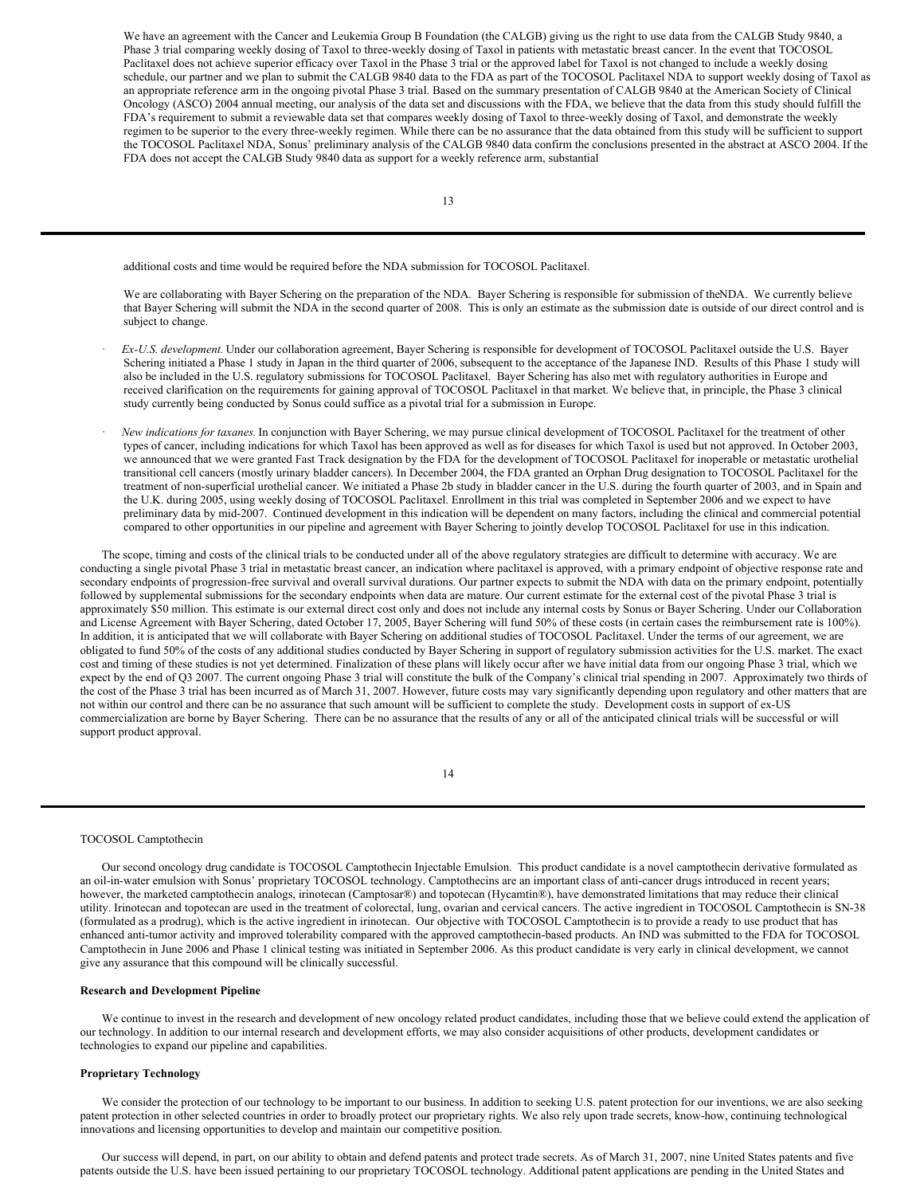We have an agreement with the Cancer and Leukemia Group B Foundation (the CALGB) giving us the right to use data from the CALGB Study 9840, a Phase 3 trial comparing weekly dosing of Taxol to three-weekly dosing of Taxol in patients with metastatic breast cancer. In the event that TOCOSOL Paclitaxel does not achieve superior efficacy over Taxol in the Phase 3 trial or the approved label for Taxol is not changed to include a weekly dosing schedule, our partner and we plan to submit the CALGB 9840 data to the FDA as part of the TOCOSOL Paclitaxel NDA to support weekly dosing of Taxol as an appropriate reference arm in the ongoing pivotal Phase 3 trial. Based on the summary presentation of CALGB 9840 at the American Society of Clinical Oncology (ASCO) 2004 annual meeting, our analysis of the data set and discussions with the FDA, we believe that the data from this study should fulfill the FDA's requirement to submit a reviewable data set that compares weekly dosing of Taxol to three-weekly dosing of Taxol, and demonstrate the weekly regimen to be superior to the every three-weekly regimen. While there can be no assurance that the data obtained from this study will be sufficient to support the TOCOSOL Paclitaxel NDA, Sonus' preliminary analysis of the CALGB 9840 data confirm the conclusions presented in the abstract at ASCO 2004. If the FDA does not accept the CALGB Study 9840 data as support for a weekly reference arm, substantial

additional costs and time would be required before the NDA submission for TOCOSOL Paclitaxel.

We are collaborating with Bayer Schering on the preparation of the NDA. Bayer Schering is responsible for submission of theNDA. We currently believe that Bayer Schering will submit the NDA in the second quarter of 2008. This is only an estimate as the submission date is outside of our direct control and is subject to change.

- · *Ex-U.S. development.* Under our collaboration agreement, Bayer Schering is responsible for development of TOCOSOL Paclitaxel outside the U.S. Bayer Schering initiated a Phase 1 study in Japan in the third quarter of 2006, subsequent to the acceptance of the Japanese IND. Results of this Phase 1 study will also be included in the U.S. regulatory submissions for TOCOSOL Paclitaxel. Bayer Schering has also met with regulatory authorities in Europe and received clarification on the requirements for gaining approval of TOCOSOL Paclitaxel in that market. We believe that, in principle, the Phase 3 clinical study currently being conducted by Sonus could suffice as a pivotal trial for a submission in Europe.
- · *New indications for taxanes.* In conjunction with Bayer Schering, we may pursue clinical development of TOCOSOL Paclitaxel for the treatment of other types of cancer, including indications for which Taxol has been approved as well as for diseases for which Taxol is used but not approved. In October 2003, we announced that we were granted Fast Track designation by the FDA for the development of TOCOSOL Paclitaxel for inoperable or metastatic urothelial transitional cell cancers (mostly urinary bladder cancers). In December 2004, the FDA granted an Orphan Drug designation to TOCOSOL Paclitaxel for the treatment of non-superficial urothelial cancer. We initiated a Phase 2b study in bladder cancer in the U.S. during the fourth quarter of 2003, and in Spain and the U.K. during 2005, using weekly dosing of TOCOSOL Paclitaxel. Enrollment in this trial was completed in September 2006 and we expect to have preliminary data by mid-2007. Continued development in this indication will be dependent on many factors, including the clinical and commercial potential compared to other opportunities in our pipeline and agreement with Bayer Schering to jointly develop TOCOSOL Paclitaxel for use in this indication.

The scope, timing and costs of the clinical trials to be conducted under all of the above regulatory strategies are difficult to determine with accuracy. We are conducting a single pivotal Phase 3 trial in metastatic breast cancer, an indication where paclitaxel is approved, with a primary endpoint of objective response rate and secondary endpoints of progression-free survival and overall survival durations. Our partner expects to submit the NDA with data on the primary endpoint, potentially followed by supplemental submissions for the secondary endpoints when data are mature. Our current estimate for the external cost of the pivotal Phase 3 trial is approximately \$50 million. This estimate is our external direct cost only and does not include any internal costs by Sonus or Bayer Schering. Under our Collaboration and License Agreement with Bayer Schering, dated October 17, 2005, Bayer Schering will fund 50% of these costs (in certain cases the reimbursement rate is 100%). In addition, it is anticipated that we will collaborate with Bayer Schering on additional studies of TOCOSOL Paclitaxel. Under the terms of our agreement, we are obligated to fund 50% of the costs of any additional studies conducted by Bayer Schering in support of regulatory submission activities for the U.S. market. The exact cost and timing of these studies is not yet determined. Finalization of these plans will likely occur after we have initial data from our ongoing Phase 3 trial, which we expect by the end of Q3 2007. The current ongoing Phase 3 trial will constitute the bulk of the Company's clinical trial spending in 2007. Approximately two thirds of the cost of the Phase 3 trial has been incurred as of March 31, 2007. However, future costs may vary significantly depending upon regulatory and other matters that are not within our control and there can be no assurance that such amount will be sufficient to complete the study. Development costs in support of ex-US commercialization are borne by Bayer Schering. There can be no assurance that the results of any or all of the anticipated clinical trials will be successful or will support product approval.

| I<br>٧ |
|--------|
|        |

#### TOCOSOL Camptothecin

Our second oncology drug candidate is TOCOSOL Camptothecin Injectable Emulsion. This product candidate is a novel camptothecin derivative formulated as an oil-in-water emulsion with Sonus' proprietary TOCOSOL technology. Camptothecins are an important class of anti-cancer drugs introduced in recent years; however, the marketed camptothecin analogs, irinotecan (Camptosar®) and topotecan (Hycamtin®), have demonstrated limitations that may reduce their clinical utility. Irinotecan and topotecan are used in the treatment of colorectal, lung, ovarian and cervical cancers. The active ingredient in TOCOSOL Camptothecin is SN-38 (formulated as a prodrug), which is the active ingredient in irinotecan. Our objective with TOCOSOL Camptothecin is to provide a ready to use product that has enhanced anti-tumor activity and improved tolerability compared with the approved camptothecin-based products. An IND was submitted to the FDA for TOCOSOL Camptothecin in June 2006 and Phase 1 clinical testing was initiated in September 2006. As this product candidate is very early in clinical development, we cannot give any assurance that this compound will be clinically successful.

#### **Research and Development Pipeline**

We continue to invest in the research and development of new oncology related product candidates, including those that we believe could extend the application of our technology. In addition to our internal research and development efforts, we may also consider acquisitions of other products, development candidates or technologies to expand our pipeline and capabilities.

#### **Proprietary Technology**

We consider the protection of our technology to be important to our business. In addition to seeking U.S. patent protection for our inventions, we are also seeking patent protection in other selected countries in order to broadly protect our proprietary rights. We also rely upon trade secrets, know-how, continuing technological innovations and licensing opportunities to develop and maintain our competitive position.

Our success will depend, in part, on our ability to obtain and defend patents and protect trade secrets. As of March 31, 2007, nine United States patents and five patents outside the U.S. have been issued pertaining to our proprietary TOCOSOL technology. Additional patent applications are pending in the United States and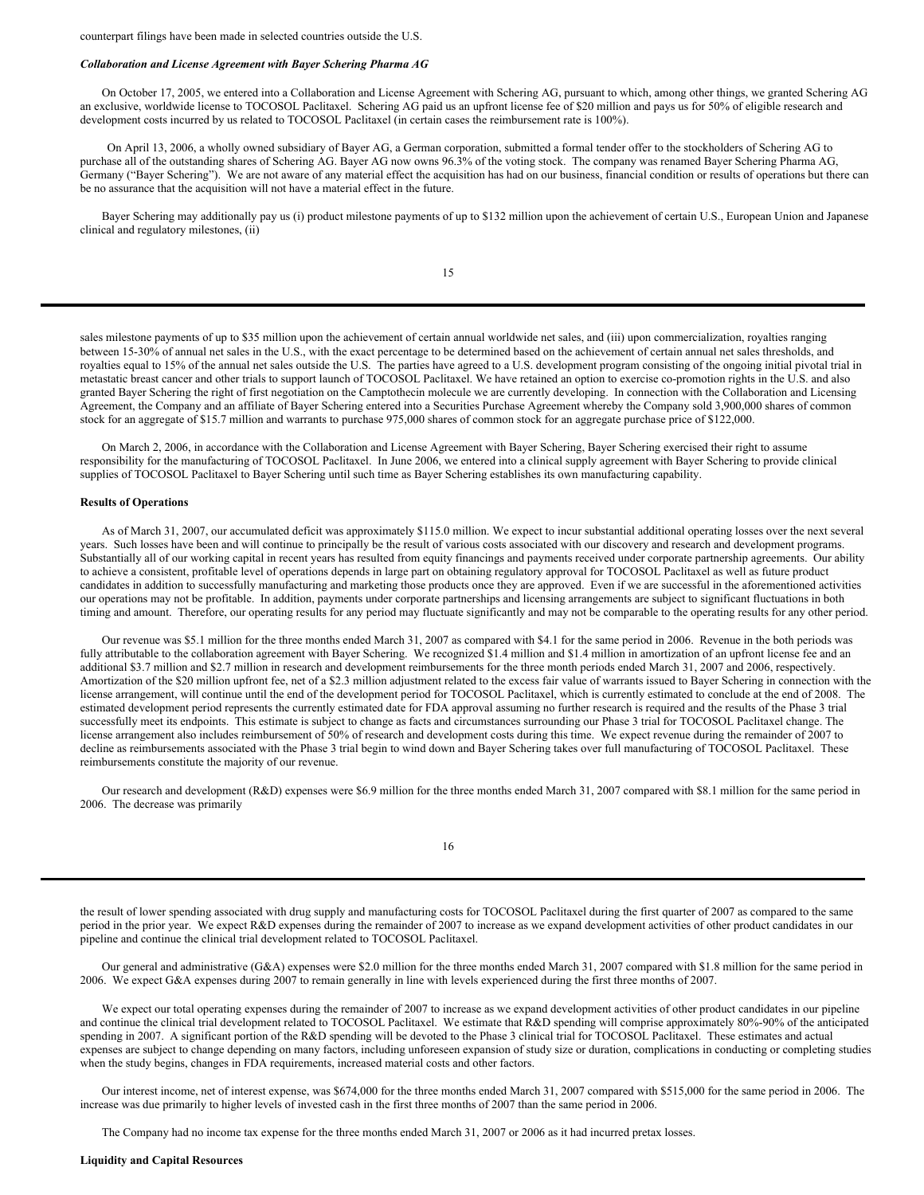counterpart filings have been made in selected countries outside the U.S.

## *Collaboration and License Agreement with Bayer Schering Pharma AG*

On October 17, 2005, we entered into a Collaboration and License Agreement with Schering AG, pursuant to which, among other things, we granted Schering AG an exclusive, worldwide license to TOCOSOL Paclitaxel. Schering AG paid us an upfront license fee of \$20 million and pays us for 50% of eligible research and development costs incurred by us related to TOCOSOL Paclitaxel (in certain cases the reimbursement rate is 100%).

On April 13, 2006, a wholly owned subsidiary of Bayer AG, a German corporation, submitted a formal tender offer to the stockholders of Schering AG to purchase all of the outstanding shares of Schering AG. Bayer AG now owns 96.3% of the voting stock. The company was renamed Bayer Schering Pharma AG, Germany ("Bayer Schering"). We are not aware of any material effect the acquisition has had on our business, financial condition or results of operations but there can be no assurance that the acquisition will not have a material effect in the future.

Bayer Schering may additionally pay us (i) product milestone payments of up to \$132 million upon the achievement of certain U.S., European Union and Japanese clinical and regulatory milestones, (ii)

sales milestone payments of up to \$35 million upon the achievement of certain annual worldwide net sales, and (iii) upon commercialization, royalties ranging between 15-30% of annual net sales in the U.S., with the exact percentage to be determined based on the achievement of certain annual net sales thresholds, and royalties equal to 15% of the annual net sales outside the U.S. The parties have agreed to a U.S. development program consisting of the ongoing initial pivotal trial in metastatic breast cancer and other trials to support launch of TOCOSOL Paclitaxel. We have retained an option to exercise co-promotion rights in the U.S. and also granted Bayer Schering the right of first negotiation on the Camptothecin molecule we are currently developing. In connection with the Collaboration and Licensing Agreement, the Company and an affiliate of Bayer Schering entered into a Securities Purchase Agreement whereby the Company sold 3,900,000 shares of common stock for an aggregate of \$15.7 million and warrants to purchase 975,000 shares of common stock for an aggregate purchase price of \$122,000.

On March 2, 2006, in accordance with the Collaboration and License Agreement with Bayer Schering, Bayer Schering exercised their right to assume responsibility for the manufacturing of TOCOSOL Paclitaxel. In June 2006, we entered into a clinical supply agreement with Bayer Schering to provide clinical supplies of TOCOSOL Paclitaxel to Bayer Schering until such time as Bayer Schering establishes its own manufacturing capability.

#### **Results of Operations**

As of March 31, 2007, our accumulated deficit was approximately \$115.0 million. We expect to incur substantial additional operating losses over the next several years. Such losses have been and will continue to principally be the result of various costs associated with our discovery and research and development programs. Substantially all of our working capital in recent years has resulted from equity financings and payments received under corporate partnership agreements. Our ability to achieve a consistent, profitable level of operations depends in large part on obtaining regulatory approval for TOCOSOL Paclitaxel as well as future product candidates in addition to successfully manufacturing and marketing those products once they are approved. Even if we are successful in the aforementioned activities our operations may not be profitable. In addition, payments under corporate partnerships and licensing arrangements are subject to significant fluctuations in both timing and amount. Therefore, our operating results for any period may fluctuate significantly and may not be comparable to the operating results for any other period.

Our revenue was \$5.1 million for the three months ended March 31, 2007 as compared with \$4.1 for the same period in 2006. Revenue in the both periods was fully attributable to the collaboration agreement with Bayer Schering. We recognized \$1.4 million and \$1.4 million in amortization of an upfront license fee and an additional \$3.7 million and \$2.7 million in research and development reimbursements for the three month periods ended March 31, 2007 and 2006, respectively. Amortization of the \$20 million upfront fee, net of a \$2.3 million adjustment related to the excess fair value of warrants issued to Bayer Schering in connection with the license arrangement, will continue until the end of the development period for TOCOSOL Paclitaxel, which is currently estimated to conclude at the end of 2008. The estimated development period represents the currently estimated date for FDA approval assuming no further research is required and the results of the Phase 3 trial successfully meet its endpoints. This estimate is subject to change as facts and circumstances surrounding our Phase 3 trial for TOCOSOL Paclitaxel change. The license arrangement also includes reimbursement of 50% of research and development costs during this time. We expect revenue during the remainder of 2007 to decline as reimbursements associated with the Phase 3 trial begin to wind down and Bayer Schering takes over full manufacturing of TOCOSOL Paclitaxel. These reimbursements constitute the majority of our revenue.

Our research and development (R&D) expenses were \$6.9 million for the three months ended March 31, 2007 compared with \$8.1 million for the same period in 2006. The decrease was primarily

## 16

the result of lower spending associated with drug supply and manufacturing costs for TOCOSOL Paclitaxel during the first quarter of 2007 as compared to the same period in the prior year. We expect R&D expenses during the remainder of 2007 to increase as we expand development activities of other product candidates in our pipeline and continue the clinical trial development related to TOCOSOL Paclitaxel.

Our general and administrative (G&A) expenses were \$2.0 million for the three months ended March 31, 2007 compared with \$1.8 million for the same period in 2006. We expect G&A expenses during 2007 to remain generally in line with levels experienced during the first three months of 2007.

We expect our total operating expenses during the remainder of 2007 to increase as we expand development activities of other product candidates in our pipeline and continue the clinical trial development related to TOCOSOL Paclitaxel. We estimate that R&D spending will comprise approximately 80%-90% of the anticipated spending in 2007. A significant portion of the R&D spending will be devoted to the Phase 3 clinical trial for TOCOSOL Paclitaxel. These estimates and actual expenses are subject to change depending on many factors, including unforeseen expansion of study size or duration, complications in conducting or completing studies when the study begins, changes in FDA requirements, increased material costs and other factors.

Our interest income, net of interest expense, was \$674,000 for the three months ended March 31, 2007 compared with \$515,000 for the same period in 2006. The increase was due primarily to higher levels of invested cash in the first three months of 2007 than the same period in 2006.

The Company had no income tax expense for the three months ended March 31, 2007 or 2006 as it had incurred pretax losses.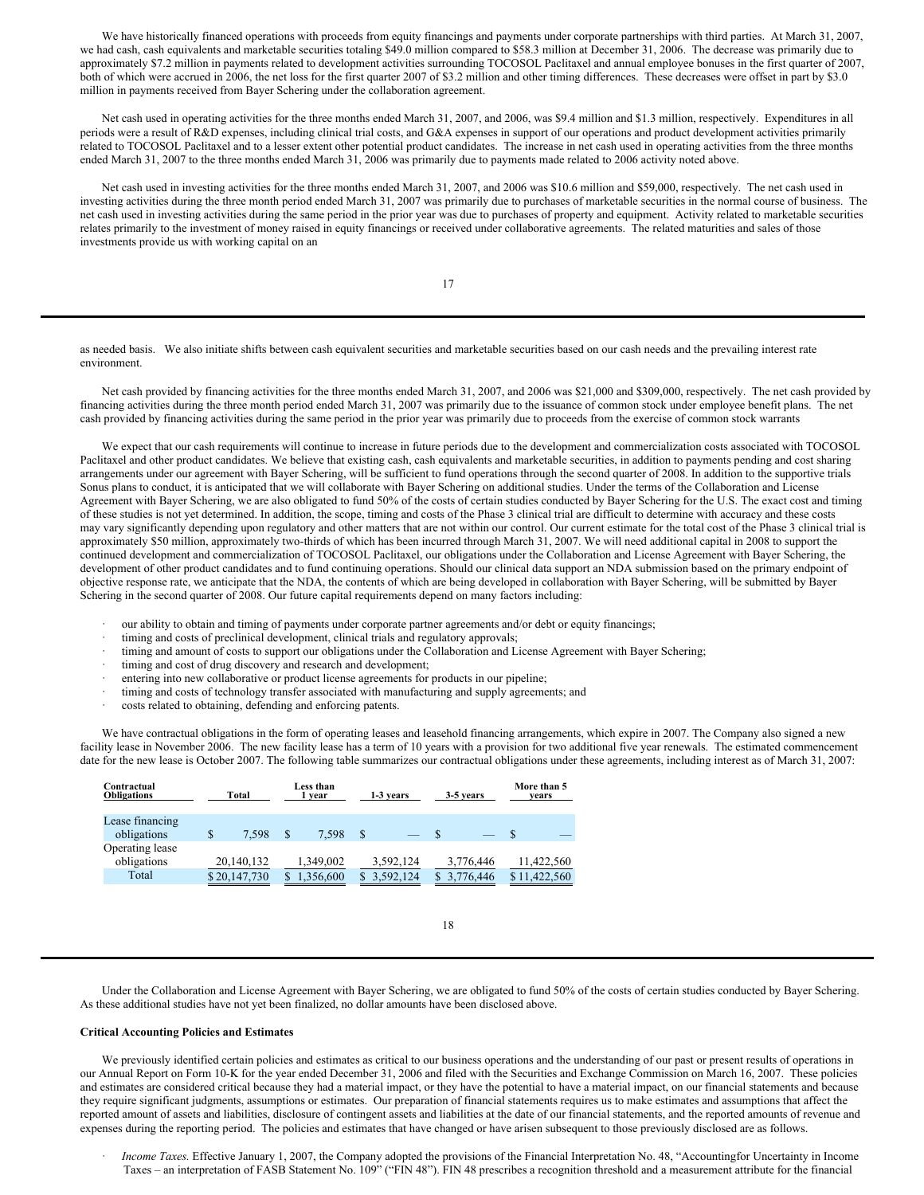We have historically financed operations with proceeds from equity financings and payments under corporate partnerships with third parties. At March 31, 2007, we had cash, cash equivalents and marketable securities totaling \$49.0 million compared to \$58.3 million at December 31, 2006. The decrease was primarily due to approximately \$7.2 million in payments related to development activities surrounding TOCOSOL Paclitaxel and annual employee bonuses in the first quarter of 2007, both of which were accrued in 2006, the net loss for the first quarter 2007 of \$3.2 million and other timing differences. These decreases were offset in part by \$3.0 million in payments received from Bayer Schering under the collaboration agreement.

Net cash used in operating activities for the three months ended March 31, 2007, and 2006, was \$9.4 million and \$1.3 million, respectively. Expenditures in all periods were a result of R&D expenses, including clinical trial costs, and G&A expenses in support of our operations and product development activities primarily related to TOCOSOL Paclitaxel and to a lesser extent other potential product candidates. The increase in net cash used in operating activities from the three months ended March 31, 2007 to the three months ended March 31, 2006 was primarily due to payments made related to 2006 activity noted above.

Net cash used in investing activities for the three months ended March 31, 2007, and 2006 was \$10.6 million and \$59,000, respectively. The net cash used in investing activities during the three month period ended March 31, 2007 was primarily due to purchases of marketable securities in the normal course of business. The net cash used in investing activities during the same period in the prior year was due to purchases of property and equipment. Activity related to marketable securities relates primarily to the investment of money raised in equity financings or received under collaborative agreements. The related maturities and sales of those investments provide us with working capital on an

17

as needed basis. We also initiate shifts between cash equivalent securities and marketable securities based on our cash needs and the prevailing interest rate environment.

Net cash provided by financing activities for the three months ended March 31, 2007, and 2006 was \$21,000 and \$309,000, respectively. The net cash provided by financing activities during the three month period ended March 31, 2007 was primarily due to the issuance of common stock under employee benefit plans. The net cash provided by financing activities during the same period in the prior year was primarily due to proceeds from the exercise of common stock warrants

We expect that our cash requirements will continue to increase in future periods due to the development and commercialization costs associated with TOCOSOL Paclitaxel and other product candidates. We believe that existing cash, cash equivalents and marketable securities, in addition to payments pending and cost sharing arrangements under our agreement with Bayer Schering, will be sufficient to fund operations through the second quarter of 2008. In addition to the supportive trials Sonus plans to conduct, it is anticipated that we will collaborate with Bayer Schering on additional studies. Under the terms of the Collaboration and License Agreement with Bayer Schering, we are also obligated to fund 50% of the costs of certain studies conducted by Bayer Schering for the U.S. The exact cost and timing of these studies is not yet determined. In addition, the scope, timing and costs of the Phase 3 clinical trial are difficult to determine with accuracy and these costs may vary significantly depending upon regulatory and other matters that are not within our control. Our current estimate for the total cost of the Phase 3 clinical trial is approximately \$50 million, approximately two-thirds of which has been incurred through March 31, 2007. We will need additional capital in 2008 to support the continued development and commercialization of TOCOSOL Paclitaxel, our obligations under the Collaboration and License Agreement with Bayer Schering, the development of other product candidates and to fund continuing operations. Should our clinical data support an NDA submission based on the primary endpoint of objective response rate, we anticipate that the NDA, the contents of which are being developed in collaboration with Bayer Schering, will be submitted by Bayer Schering in the second quarter of 2008. Our future capital requirements depend on many factors including:

- our ability to obtain and timing of payments under corporate partner agreements and/or debt or equity financings;
- timing and costs of preclinical development, clinical trials and regulatory approvals;
- timing and amount of costs to support our obligations under the Collaboration and License Agreement with Bayer Schering;
- timing and cost of drug discovery and research and development;
- entering into new collaborative or product license agreements for products in our pipeline;
- timing and costs of technology transfer associated with manufacturing and supply agreements; and
- costs related to obtaining, defending and enforcing patents.

We have contractual obligations in the form of operating leases and leasehold financing arrangements, which expire in 2007. The Company also signed a new facility lease in November 2006. The new facility lease has a term of 10 years with a provision for two additional five year renewals. The estimated commencement date for the new lease is October 2007. The following table summarizes our contractual obligations under these agreements, including interest as of March 31, 2007:

| Contractual<br><b>Obligations</b> |              | Total |           | Less than<br>1 vear |           | 1-3 years |           | 3-5 years |            | More than 5<br>vears |
|-----------------------------------|--------------|-------|-----------|---------------------|-----------|-----------|-----------|-----------|------------|----------------------|
| Lease financing<br>obligations    | S            | 7.598 | S.        | 7.598               | S         |           |           |           | S          |                      |
| Operating lease<br>obligations    | 20,140,132   |       | 1,349,002 |                     | 3,592,124 |           | 3,776,446 |           | 11,422,560 |                      |
| Total                             | \$20,147,730 |       | 1.356.600 |                     | 3.592.124 |           | 3.776.446 |           | 11.422.560 |                      |

18

Under the Collaboration and License Agreement with Bayer Schering, we are obligated to fund 50% of the costs of certain studies conducted by Bayer Schering. As these additional studies have not yet been finalized, no dollar amounts have been disclosed above.

#### **Critical Accounting Policies and Estimates**

We previously identified certain policies and estimates as critical to our business operations and the understanding of our past or present results of operations in our Annual Report on Form 10-K for the year ended December 31, 2006 and filed with the Securities and Exchange Commission on March 16, 2007. These policies and estimates are considered critical because they had a material impact, or they have the potential to have a material impact, on our financial statements and because they require significant judgments, assumptions or estimates. Our preparation of financial statements requires us to make estimates and assumptions that affect the reported amount of assets and liabilities, disclosure of contingent assets and liabilities at the date of our financial statements, and the reported amounts of revenue and expenses during the reporting period. The policies and estimates that have changed or have arisen subsequent to those previously disclosed are as follows.

*Income Taxes.* Effective January 1, 2007, the Company adopted the provisions of the Financial Interpretation No. 48, "Accountingfor Uncertainty in Income Taxes – an interpretation of FASB Statement No. 109" ("FIN 48"). FIN 48 prescribes a recognition threshold and a measurement attribute for the financial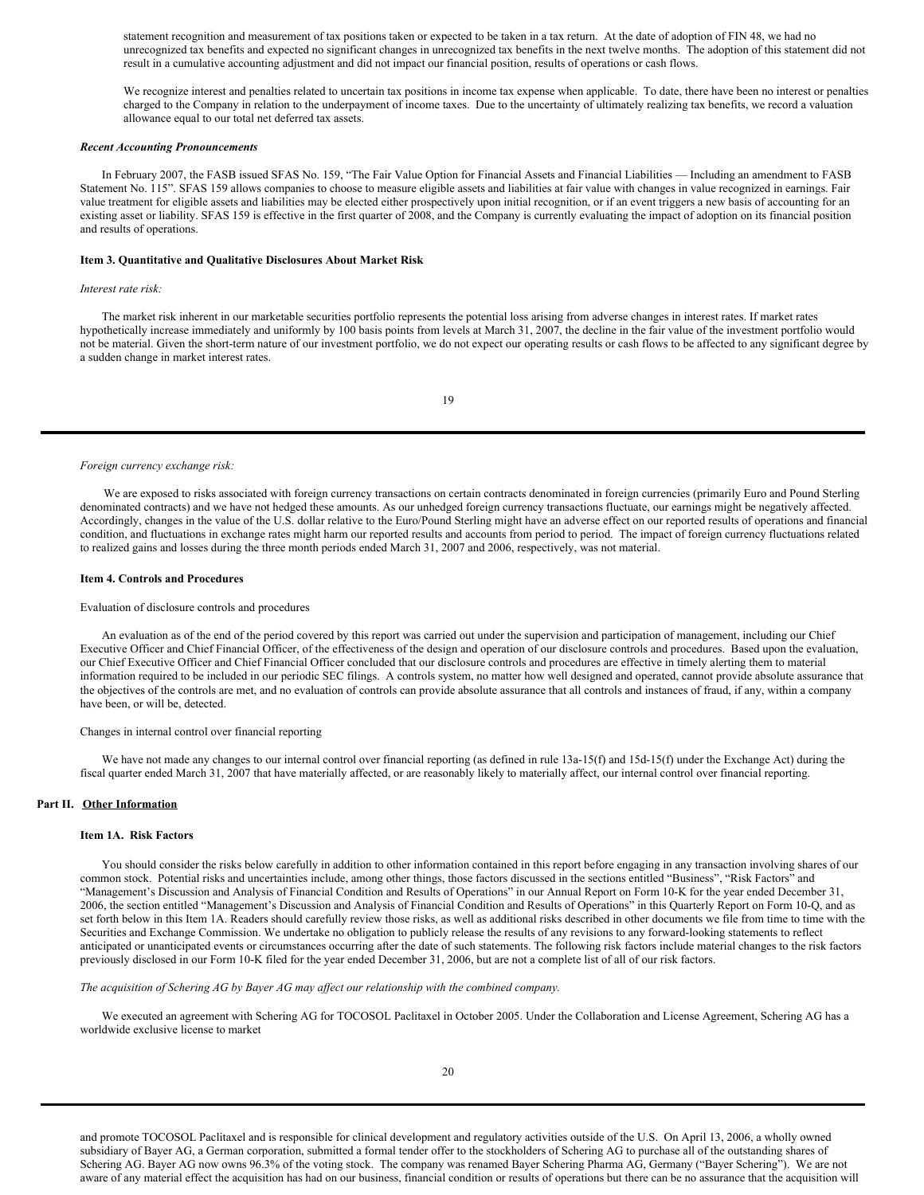statement recognition and measurement of tax positions taken or expected to be taken in a tax return. At the date of adoption of FIN 48, we had no unrecognized tax benefits and expected no significant changes in unrecognized tax benefits in the next twelve months. The adoption of this statement did not result in a cumulative accounting adjustment and did not impact our financial position, results of operations or cash flows.

We recognize interest and penalties related to uncertain tax positions in income tax expense when applicable. To date, there have been no interest or penalties charged to the Company in relation to the underpayment of income taxes. Due to the uncertainty of ultimately realizing tax benefits, we record a valuation allowance equal to our total net deferred tax assets.

# *Recent Accounting Pronouncements*

In February 2007, the FASB issued SFAS No. 159, "The Fair Value Option for Financial Assets and Financial Liabilities — Including an amendment to FASB Statement No. 115". SFAS 159 allows companies to choose to measure eligible assets and liabilities at fair value with changes in value recognized in earnings. Fair value treatment for eligible assets and liabilities may be elected either prospectively upon initial recognition, or if an event triggers a new basis of accounting for an existing asset or liability. SFAS 159 is effective in the first quarter of 2008, and the Company is currently evaluating the impact of adoption on its financial position and results of operations.

## **Item 3. Quantitative and Qualitative Disclosures About Market Risk**

#### *Interest rate risk:*

The market risk inherent in our marketable securities portfolio represents the potential loss arising from adverse changes in interest rates. If market rates hypothetically increase immediately and uniformly by 100 basis points from levels at March 31, 2007, the decline in the fair value of the investment portfolio would not be material. Given the short-term nature of our investment portfolio, we do not expect our operating results or cash flows to be affected to any significant degree by a sudden change in market interest rates.

<span id="page-10-0"></span>

| ×<br>۰.<br>۰,<br>٧ |
|--------------------|
|--------------------|

#### *Foreign currency exchange risk:*

We are exposed to risks associated with foreign currency transactions on certain contracts denominated in foreign currencies (primarily Euro and Pound Sterling denominated contracts) and we have not hedged these amounts. As our unhedged foreign currency transactions fluctuate, our earnings might be negatively affected. Accordingly, changes in the value of the U.S. dollar relative to the Euro/Pound Sterling might have an adverse effect on our reported results of operations and financial condition, and fluctuations in exchange rates might harm our reported results and accounts from period to period. The impact of foreign currency fluctuations related to realized gains and losses during the three month periods ended March 31, 2007 and 2006, respectively, was not material.

#### <span id="page-10-1"></span>**Item 4. Controls and Procedures**

#### Evaluation of disclosure controls and procedures

An evaluation as of the end of the period covered by this report was carried out under the supervision and participation of management, including our Chief Executive Officer and Chief Financial Officer, of the effectiveness of the design and operation of our disclosure controls and procedures. Based upon the evaluation, our Chief Executive Officer and Chief Financial Officer concluded that our disclosure controls and procedures are effective in timely alerting them to material information required to be included in our periodic SEC filings. A controls system, no matter how well designed and operated, cannot provide absolute assurance that the objectives of the controls are met, and no evaluation of controls can provide absolute assurance that all controls and instances of fraud, if any, within a company have been, or will be, detected.

## Changes in internal control over financial reporting

We have not made any changes to our internal control over financial reporting (as defined in rule 13a-15(f) and 15d-15(f) under the Exchange Act) during the fiscal quarter ended March 31, 2007 that have materially affected, or are reasonably likely to materially affect, our internal control over financial reporting.

# **Part II. Other Information**

# <span id="page-10-3"></span><span id="page-10-2"></span>**Item 1A. Risk Factors**

You should consider the risks below carefully in addition to other information contained in this report before engaging in any transaction involving shares of our common stock. Potential risks and uncertainties include, among other things, those factors discussed in the sections entitled "Business", "Risk Factors" and "Management's Discussion and Analysis of Financial Condition and Results of Operations" in our Annual Report on Form 10-K for the year ended December 31, 2006, the section entitled "Management's Discussion and Analysis of Financial Condition and Results of Operations" in this Quarterly Report on Form 10-Q, and as set forth below in this Item 1A. Readers should carefully review those risks, as well as additional risks described in other documents we file from time to time with the Securities and Exchange Commission. We undertake no obligation to publicly release the results of any revisions to any forward-looking statements to reflect anticipated or unanticipated events or circumstances occurring after the date of such statements. The following risk factors include material changes to the risk factors previously disclosed in our Form 10-K filed for the year ended December 31, 2006, but are not a complete list of all of our risk factors.

#### *The acquisition of Schering AG by Bayer AG may af ect our relationship with the combined company.*

We executed an agreement with Schering AG for TOCOSOL Paclitaxel in October 2005. Under the Collaboration and License Agreement, Schering AG has a worldwide exclusive license to market

and promote TOCOSOL Paclitaxel and is responsible for clinical development and regulatory activities outside of the U.S. On April 13, 2006, a wholly owned subsidiary of Bayer AG, a German corporation, submitted a formal tender offer to the stockholders of Schering AG to purchase all of the outstanding shares of Schering AG. Bayer AG now owns 96.3% of the voting stock. The company was renamed Bayer Schering Pharma AG, Germany ("Bayer Schering"). We are not aware of any material effect the acquisition has had on our business, financial condition or results of operations but there can be no assurance that the acquisition will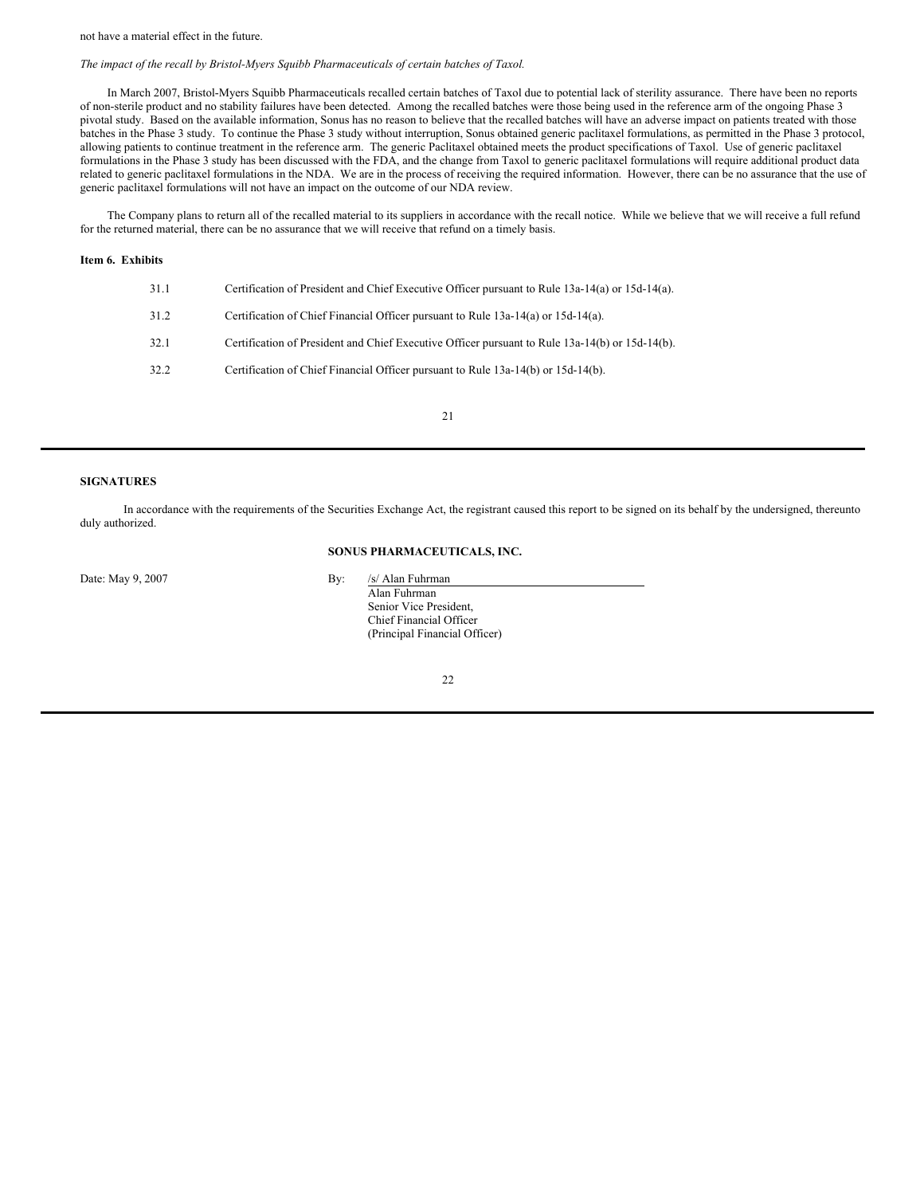# not have a material effect in the future.

# *The impact of the recall by Bristol-Myers Squibb Pharmaceuticals of certain batches of Taxol.*

In March 2007, Bristol-Myers Squibb Pharmaceuticals recalled certain batches of Taxol due to potential lack of sterility assurance. There have been no reports of non-sterile product and no stability failures have been detected. Among the recalled batches were those being used in the reference arm of the ongoing Phase 3 pivotal study. Based on the available information, Sonus has no reason to believe that the recalled batches will have an adverse impact on patients treated with those batches in the Phase 3 study. To continue the Phase 3 study without interruption, Sonus obtained generic paclitaxel formulations, as permitted in the Phase 3 protocol, allowing patients to continue treatment in the reference arm. The generic Paclitaxel obtained meets the product specifications of Taxol. Use of generic paclitaxel formulations in the Phase 3 study has been discussed with the FDA, and the change from Taxol to generic paclitaxel formulations will require additional product data related to generic paclitaxel formulations in the NDA. We are in the process of receiving the required information. However, there can be no assurance that the use of generic paclitaxel formulations will not have an impact on the outcome of our NDA review.

The Company plans to return all of the recalled material to its suppliers in accordance with the recall notice. While we believe that we will receive a full refund for the returned material, there can be no assurance that we will receive that refund on a timely basis.

# **Item 6. Exhibits**

<span id="page-11-0"></span>

| 31.1 | Certification of President and Chief Executive Officer pursuant to Rule 13a-14(a) or 15d-14(a). |
|------|-------------------------------------------------------------------------------------------------|
| 31.2 | Certification of Chief Financial Officer pursuant to Rule $13a-14(a)$ or $15d-14(a)$ .          |
| 32.1 | Certification of President and Chief Executive Officer pursuant to Rule 13a-14(b) or 15d-14(b). |
| 32.2 | Certification of Chief Financial Officer pursuant to Rule 13a-14(b) or 15d-14(b).               |

21

## **SIGNATURES**

In accordance with the requirements of the Securities Exchange Act, the registrant caused this report to be signed on its behalf by the undersigned, thereunto duly authorized.

# **SONUS PHARMACEUTICALS, INC.**

Date: May 9, 2007 By: /s/ Alan Fuhrman Alan Fuhrman Senior Vice President, Chief Financial Officer (Principal Financial Officer)

 $22$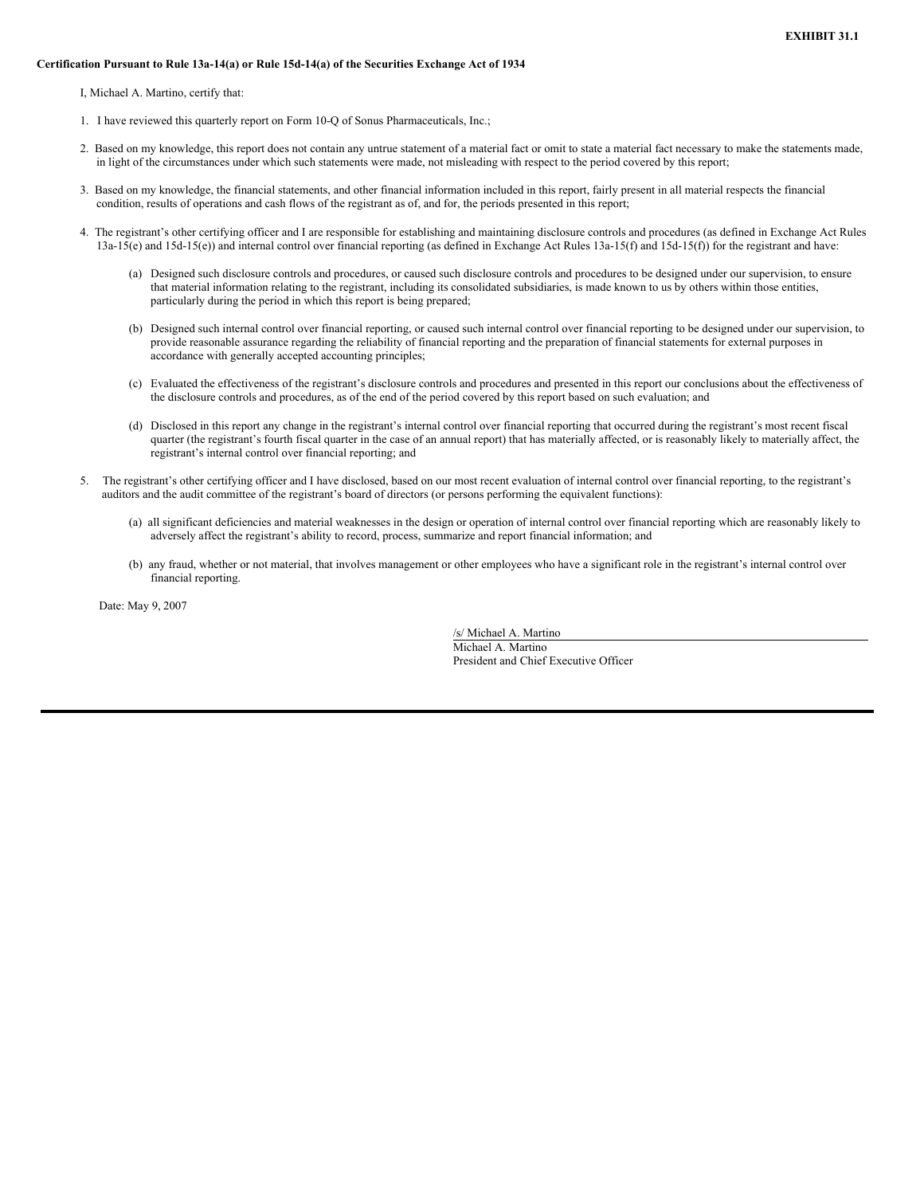# **Certification Pursuant to Rule 13a-14(a) or Rule 15d-14(a) of the Securities Exchange Act of 1934**

I, Michael A. Martino, certify that:

- 1. I have reviewed this quarterly report on Form 10-Q of Sonus Pharmaceuticals, Inc.;
- 2. Based on my knowledge, this report does not contain any untrue statement of a material fact or omit to state a material fact necessary to make the statements made, in light of the circumstances under which such statements were made, not misleading with respect to the period covered by this report;
- 3. Based on my knowledge, the financial statements, and other financial information included in this report, fairly present in all material respects the financial condition, results of operations and cash flows of the registrant as of, and for, the periods presented in this report;
- 4. The registrant's other certifying officer and I are responsible for establishing and maintaining disclosure controls and procedures (as defined in Exchange Act Rules  $13a-15(e)$  and  $15d-15(e)$ ) and internal control over financial reporting (as defined in Exchange Act Rules  $13a-15(f)$  and  $15d-15(f)$ ) for the registrant and have:
	- (a) Designed such disclosure controls and procedures, or caused such disclosure controls and procedures to be designed under our supervision, to ensure that material information relating to the registrant, including its consolidated subsidiaries, is made known to us by others within those entities, particularly during the period in which this report is being prepared;
	- (b) Designed such internal control over financial reporting, or caused such internal control over financial reporting to be designed under our supervision, to provide reasonable assurance regarding the reliability of financial reporting and the preparation of financial statements for external purposes in accordance with generally accepted accounting principles;
	- (c) Evaluated the effectiveness of the registrant's disclosure controls and procedures and presented in this report our conclusions about the effectiveness of the disclosure controls and procedures, as of the end of the period covered by this report based on such evaluation; and
	- (d) Disclosed in this report any change in the registrant's internal control over financial reporting that occurred during the registrant's most recent fiscal quarter (the registrant's fourth fiscal quarter in the case of an annual report) that has materially affected, or is reasonably likely to materially affect, the registrant's internal control over financial reporting; and
- 5. The registrant's other certifying officer and I have disclosed, based on our most recent evaluation of internal control over financial reporting, to the registrant's auditors and the audit committee of the registrant's board of directors (or persons performing the equivalent functions):
	- (a) all significant deficiencies and material weaknesses in the design or operation of internal control over financial reporting which are reasonably likely to adversely affect the registrant's ability to record, process, summarize and report financial information; and
	- (b) any fraud, whether or not material, that involves management or other employees who have a significant role in the registrant's internal control over financial reporting.

Date: May 9, 2007

/s/ Michael A. Martino Michael A. Martino President and Chief Executive Officer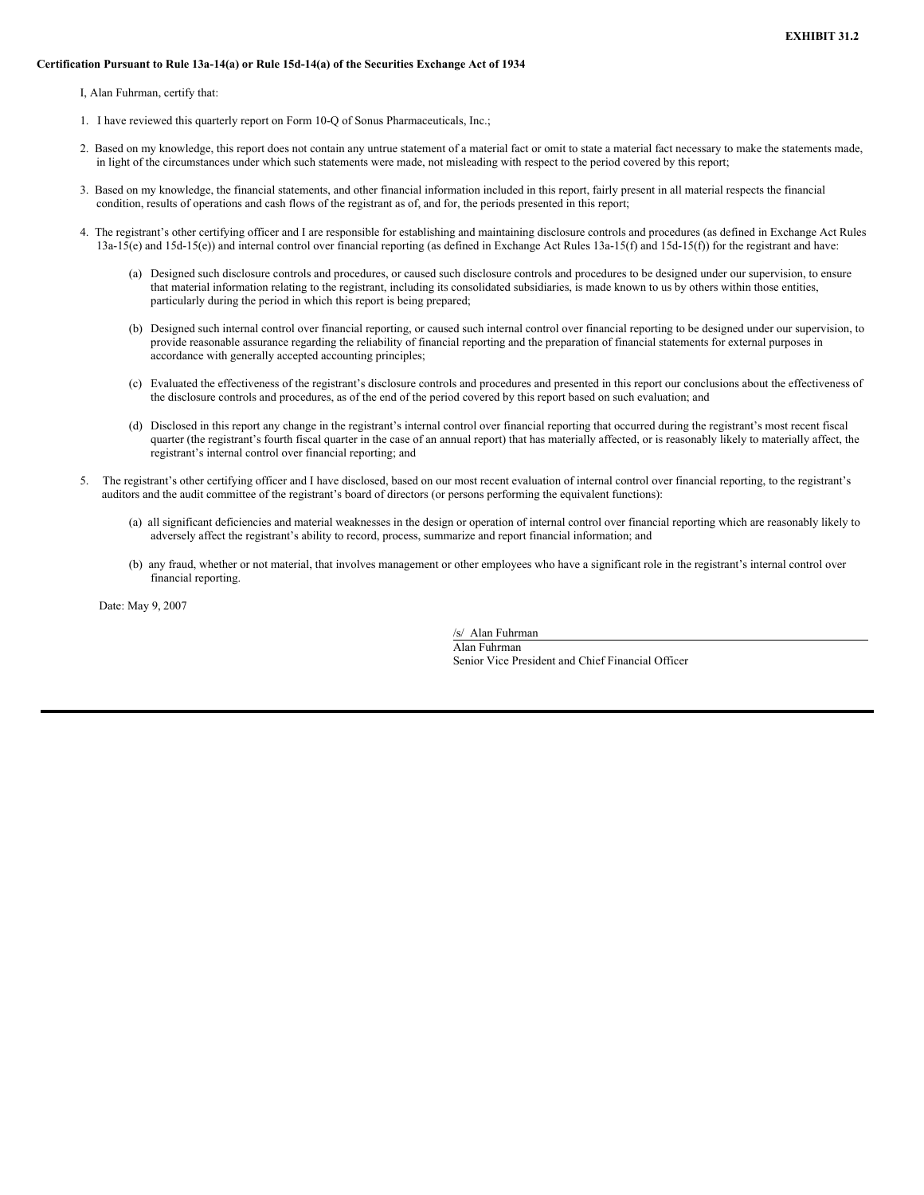# **Certification Pursuant to Rule 13a-14(a) or Rule 15d-14(a) of the Securities Exchange Act of 1934**

I, Alan Fuhrman, certify that:

- 1. I have reviewed this quarterly report on Form 10-Q of Sonus Pharmaceuticals, Inc.;
- 2. Based on my knowledge, this report does not contain any untrue statement of a material fact or omit to state a material fact necessary to make the statements made, in light of the circumstances under which such statements were made, not misleading with respect to the period covered by this report;
- 3. Based on my knowledge, the financial statements, and other financial information included in this report, fairly present in all material respects the financial condition, results of operations and cash flows of the registrant as of, and for, the periods presented in this report;
- 4. The registrant's other certifying officer and I are responsible for establishing and maintaining disclosure controls and procedures (as defined in Exchange Act Rules  $13a-15(e)$  and  $15d-15(e)$ ) and internal control over financial reporting (as defined in Exchange Act Rules  $13a-15(f)$  and  $15d-15(f)$ ) for the registrant and have:
	- (a) Designed such disclosure controls and procedures, or caused such disclosure controls and procedures to be designed under our supervision, to ensure that material information relating to the registrant, including its consolidated subsidiaries, is made known to us by others within those entities, particularly during the period in which this report is being prepared;
	- (b) Designed such internal control over financial reporting, or caused such internal control over financial reporting to be designed under our supervision, to provide reasonable assurance regarding the reliability of financial reporting and the preparation of financial statements for external purposes in accordance with generally accepted accounting principles;
	- (c) Evaluated the effectiveness of the registrant's disclosure controls and procedures and presented in this report our conclusions about the effectiveness of the disclosure controls and procedures, as of the end of the period covered by this report based on such evaluation; and
	- (d) Disclosed in this report any change in the registrant's internal control over financial reporting that occurred during the registrant's most recent fiscal quarter (the registrant's fourth fiscal quarter in the case of an annual report) that has materially affected, or is reasonably likely to materially affect, the registrant's internal control over financial reporting; and
- 5. The registrant's other certifying officer and I have disclosed, based on our most recent evaluation of internal control over financial reporting, to the registrant's auditors and the audit committee of the registrant's board of directors (or persons performing the equivalent functions):
	- (a) all significant deficiencies and material weaknesses in the design or operation of internal control over financial reporting which are reasonably likely to adversely affect the registrant's ability to record, process, summarize and report financial information; and
	- (b) any fraud, whether or not material, that involves management or other employees who have a significant role in the registrant's internal control over financial reporting.

Date: May 9, 2007

/s/ Alan Fuhrman Alan Fuhrman Senior Vice President and Chief Financial Officer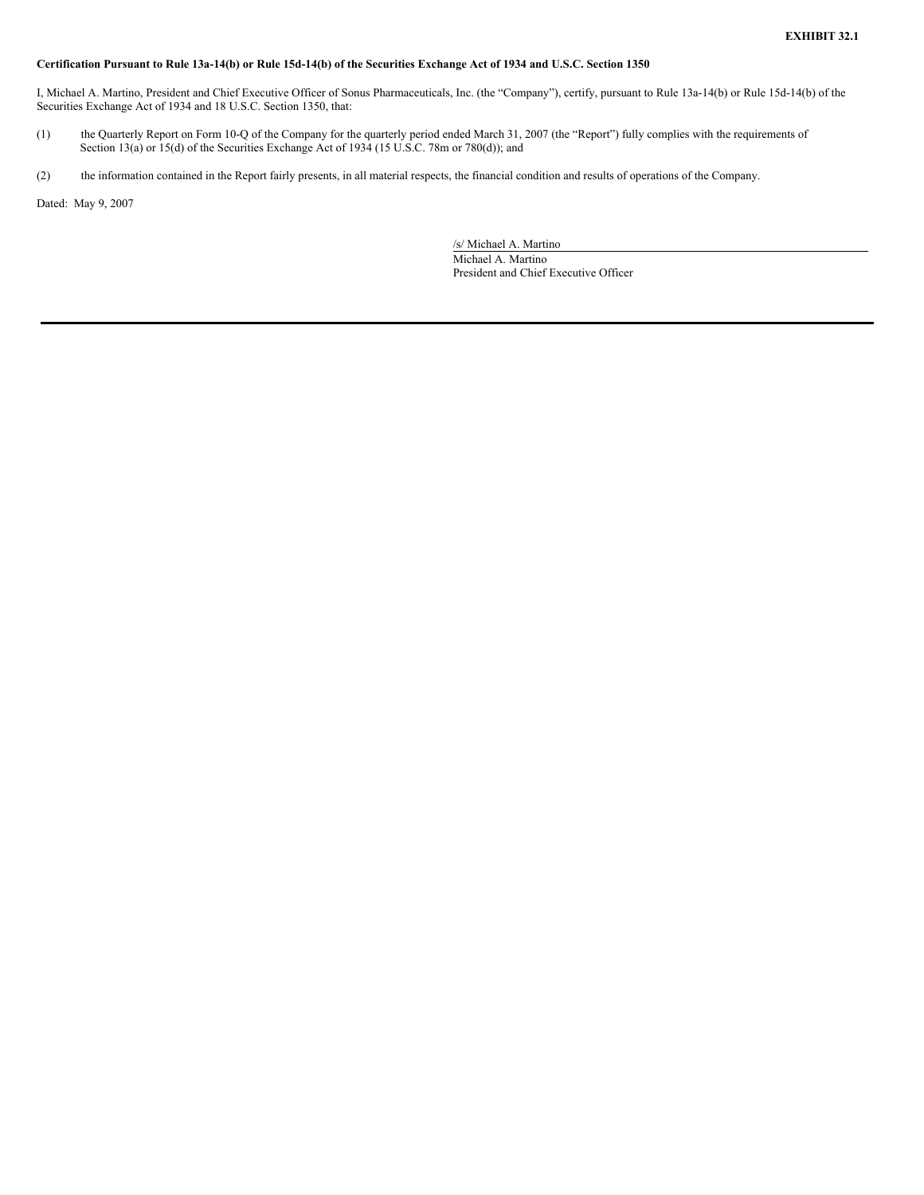# Certification Pursuant to Rule 13a-14(b) or Rule 15d-14(b) of the Securities Exchange Act of 1934 and U.S.C. Section 1350

I, Michael A. Martino, President and Chief Executive Officer of Sonus Pharmaceuticals, Inc. (the "Company"), certify, pursuant to Rule 13a-14(b) or Rule 15d-14(b) of the Securities Exchange Act of 1934 and 18 U.S.C. Section 1350, that:

- (1) the Quarterly Report on Form 10-Q of the Company for the quarterly period ended March 31, 2007 (the "Report") fully complies with the requirements of Section 13(a) or 15(d) of the Securities Exchange Act of 1934 (15 U.S.C. 78m or 780(d)); and
- (2) the information contained in the Report fairly presents, in all material respects, the financial condition and results of operations of the Company.

Dated: May 9, 2007

/s/ Michael A. Martino Michael A. Martino President and Chief Executive Officer